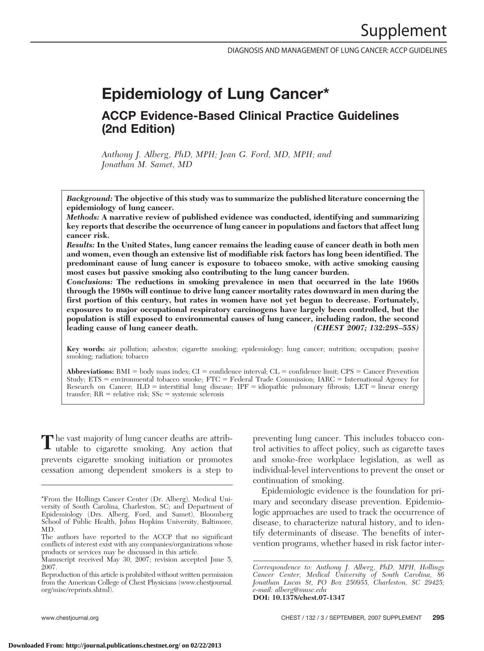# **Epidemiology of Lung Cancer\* ACCP Evidence-Based Clinical Practice Guidelines (2nd Edition)**

*Anthony J. Alberg, PhD, MPH; Jean G. Ford, MD, MPH; and Jonathan M. Samet, MD*

*Background:* **The objective of this study was to summarize the published literature concerning the epidemiology of lung cancer.**

*Methods:* **A narrative review of published evidence was conducted, identifying and summarizing key reports that describe the occurrence of lung cancer in populations and factors that affect lung cancer risk.**

*Results:* **In the United States, lung cancer remains the leading cause of cancer death in both men and women, even though an extensive list of modifiable risk factors has long been identified. The predominant cause of lung cancer is exposure to tobacco smoke, with active smoking causing most cases but passive smoking also contributing to the lung cancer burden.**

*Conclusions:* **The reductions in smoking prevalence in men that occurred in the late 1960s through the 1980s will continue to drive lung cancer mortality rates downward in men during the first portion of this century, but rates in women have not yet begun to decrease. Fortunately, exposures to major occupational respiratory carcinogens have largely been controlled, but the population is still exposed to environmental causes of lung cancer, including radon, the second leading cause of lung cancer death.** *(CHEST 2007; 132:29S–55S)*

**Key words:** air pollution; asbestos; cigarette smoking; epidemiology; lung cancer; nutrition; occupation; passive smoking; radiation; tobacco

**Abbreviations:** BMI = body mass index; CI = confidence interval; CL = confidence limit; CPS = Cancer Prevention Study; ETS = environmental tobacco smoke; FTC = Federal Trade Commission; IARC = International Agency for Research on Cancer; ILD = interstitial lung disease; IPF = idiopathic pulmonary fibrosis; LET = linear energy transfer;  $RR =$  relative risk;  $SSc =$  systemic sclerosis

**T**he vast majority of lung cancer deaths are attrib-utable to cigarette smoking. Any action that prevents cigarette smoking initiation or promotes cessation among dependent smokers is a step to

preventing lung cancer. This includes tobacco control activities to affect policy, such as cigarette taxes and smoke-free workplace legislation, as well as individual-level interventions to prevent the onset or continuation of smoking.

Epidemiologic evidence is the foundation for primary and secondary disease prevention. Epidemiologic approaches are used to track the occurrence of disease, to characterize natural history, and to identify determinants of disease. The benefits of intervention programs, whether based in risk factor inter-

<sup>\*</sup>From the Hollings Cancer Center (Dr. Alberg), Medical University of South Carolina, Charleston, SC; and Department of Epidemiology (Drs. Alberg, Ford, and Samet), Bloomberg School of Public Health, Johns Hopkins University, Baltimore, MD.

The authors have reported to the ACCP that no significant conflicts of interest exist with any companies/organizations whose products or services may be discussed in this article.

Manuscript received May 30, 2007; revision accepted June 5, 2007.

Reproduction of this article is prohibited without written permission from the American College of Chest Physicians (www.chestjournal. org/misc/reprints.shtml).

*Correspondence to: Anthony J. Alberg, PhD, MPH, Hollings Cancer Center, Medical University of South Carolina, 86 Jonathan Lucas St, PO Box 250955, Charleston, SC 29425; e-mail: alberg@musc.edu* **DOI: 10.1378/chest.07-1347**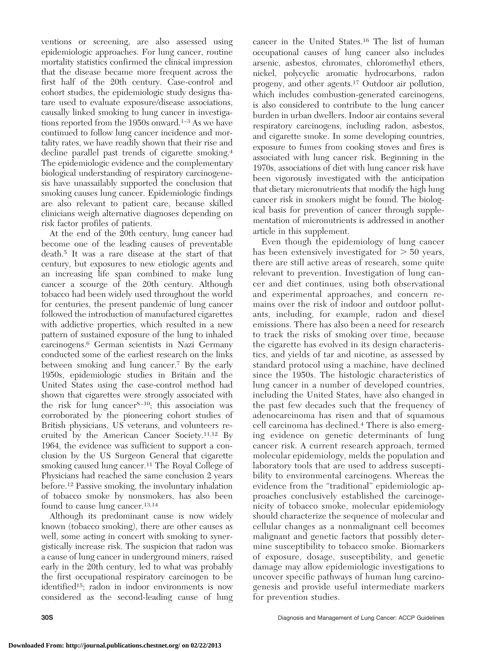ventions or screening, are also assessed using epidemiologic approaches. For lung cancer, routine mortality statistics confirmed the clinical impression that the disease became more frequent across the first half of the 20th century. Case-control and cohort studies, the epidemiologic study designs thatare used to evaluate exposure/disease associations, causally linked smoking to lung cancer in investigations reported from the 1950s onward.<sup>1-3</sup> As we have continued to follow lung cancer incidence and mortality rates, we have readily shown that their rise and decline parallel past trends of cigarette smoking.<sup>4</sup> The epidemiologic evidence and the complementary biological understanding of respiratory carcinogenesis have unassailably supported the conclusion that smoking causes lung cancer. Epidemiologic findings are also relevant to patient care, because skilled clinicians weigh alternative diagnoses depending on risk factor profiles of patients.

At the end of the 20th century, lung cancer had become one of the leading causes of preventable death.5 It was a rare disease at the start of that century, but exposures to new etiologic agents and an increasing life span combined to make lung cancer a scourge of the 20th century. Although tobacco had been widely used throughout the world for centuries, the present pandemic of lung cancer followed the introduction of manufactured cigarettes with addictive properties, which resulted in a new pattern of sustained exposure of the lung to inhaled carcinogens.6 German scientists in Nazi Germany conducted some of the earliest research on the links between smoking and lung cancer.7 By the early 1950s, epidemiologic studies in Britain and the United States using the case-control method had shown that cigarettes were strongly associated with the risk for lung cancer<sup>8-10</sup>; this association was corroborated by the pioneering cohort studies of British physicians, US veterans, and volunteers recruited by the American Cancer Society.11,12 By 1964, the evidence was sufficient to support a conclusion by the US Surgeon General that cigarette smoking caused lung cancer.<sup>11</sup> The Royal College of Physicians had reached the same conclusion 2 years before.12 Passive smoking, the involuntary inhalation of tobacco smoke by nonsmokers, has also been found to cause lung cancer.13,14

Although its predominant cause is now widely known (tobacco smoking), there are other causes as well, some acting in concert with smoking to synergistically increase risk. The suspicion that radon was a cause of lung cancer in underground miners, raised early in the 20th century, led to what was probably the first occupational respiratory carcinogen to be identified15; radon in indoor environments is now considered as the second-leading cause of lung

cancer in the United States.16 The list of human occupational causes of lung cancer also includes arsenic, asbestos, chromates, chloromethyl ethers, nickel, polycyclic aromatic hydrocarbons, radon progeny, and other agents.17 Outdoor air pollution, which includes combustion-generated carcinogens, is also considered to contribute to the lung cancer burden in urban dwellers. Indoor air contains several respiratory carcinogens, including radon, asbestos, and cigarette smoke. In some developing countries, exposure to fumes from cooking stoves and fires is associated with lung cancer risk. Beginning in the 1970s, associations of diet with lung cancer risk have been vigorously investigated with the anticipation that dietary micronutrients that modify the high lung cancer risk in smokers might be found. The biological basis for prevention of cancer through supplementation of micronutrients is addressed in another article in this supplement.

Even though the epidemiology of lung cancer has been extensively investigated for  $>50$  years, there are still active areas of research, some quite relevant to prevention. Investigation of lung cancer and diet continues, using both observational and experimental approaches, and concern remains over the risk of indoor and outdoor pollutants, including, for example, radon and diesel emissions. There has also been a need for research to track the risks of smoking over time, because the cigarette has evolved in its design characteristics, and yields of tar and nicotine, as assessed by standard protocol using a machine, have declined since the 1950s. The histologic characteristics of lung cancer in a number of developed countries, including the United States, have also changed in the past few decades such that the frequency of adenocarcinoma has risen and that of squamous cell carcinoma has declined.4 There is also emerging evidence on genetic determinants of lung cancer risk. A current research approach, termed molecular epidemiology, melds the population and laboratory tools that are used to address susceptibility to environmental carcinogens. Whereas the evidence from the "traditional" epidemiologic approaches conclusively established the carcinogenicity of tobacco smoke, molecular epidemiology should characterize the sequence of molecular and cellular changes as a nonmalignant cell becomes malignant and genetic factors that possibly determine susceptibility to tobacco smoke. Biomarkers of exposure, dosage, susceptibility, and genetic damage may allow epidemiologic investigations to uncover specific pathways of human lung carcinogenesis and provide useful intermediate markers for prevention studies.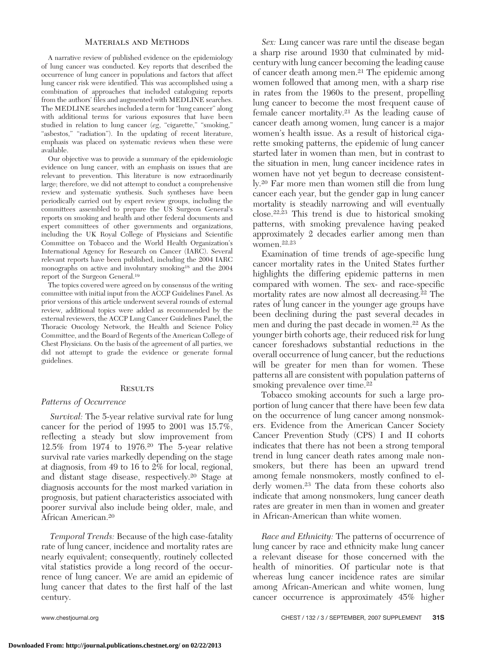## Materials and Methods

A narrative review of published evidence on the epidemiology of lung cancer was conducted. Key reports that described the occurrence of lung cancer in populations and factors that affect lung cancer risk were identified. This was accomplished using a combination of approaches that included cataloguing reports from the authors' files and augmented with MEDLINE searches. The MEDLINE searches included a term for "lung cancer" along with additional terms for various exposures that have been studied in relation to lung cancer (*eg*, "cigarette," "smoking," "asbestos," "radiation"). In the updating of recent literature, emphasis was placed on systematic reviews when these were available.

Our objective was to provide a summary of the epidemiologic evidence on lung cancer, with an emphasis on issues that are relevant to prevention. This literature is now extraordinarily large; therefore, we did not attempt to conduct a comprehensive review and systematic synthesis. Such syntheses have been periodically carried out by expert review groups, including the committees assembled to prepare the US Surgeon General's reports on smoking and health and other federal documents and expert committees of other governments and organizations, including the UK Royal College of Physicians and Scientific Committee on Tobacco and the World Health Organization's International Agency for Research on Cancer (IARC). Several relevant reports have been published, including the 2004 IARC monographs on active and involuntary smoking18 and the 2004 report of the Surgeon General.19

The topics covered were agreed on by consensus of the writing committee with initial input from the ACCP Guidelines Panel. As prior versions of this article underwent several rounds of external review, additional topics were added as recommended by the external reviewers, the ACCP Lung Cancer Guidelines Panel, the Thoracic Oncology Network, the Health and Science Policy Committee, and the Board of Regents of the American College of Chest Physicians. On the basis of the agreement of all parties, we did not attempt to grade the evidence or generate formal guidelines.

## **RESULTS**

### *Patterns of Occurrence*

*Survival:* The 5-year relative survival rate for lung cancer for the period of 1995 to 2001 was 15.7%, reflecting a steady but slow improvement from 12.5% from 1974 to 1976.20 The 5-year relative survival rate varies markedly depending on the stage at diagnosis, from 49 to 16 to 2% for local, regional, and distant stage disease, respectively.20 Stage at diagnosis accounts for the most marked variation in prognosis, but patient characteristics associated with poorer survival also include being older, male, and African American.20

*Temporal Trends:* Because of the high case-fatality rate of lung cancer, incidence and mortality rates are nearly equivalent; consequently, routinely collected vital statistics provide a long record of the occurrence of lung cancer. We are amid an epidemic of lung cancer that dates to the first half of the last century.

*Sex:* Lung cancer was rare until the disease began a sharp rise around 1930 that culminated by midcentury with lung cancer becoming the leading cause of cancer death among men.21 The epidemic among women followed that among men, with a sharp rise in rates from the 1960s to the present, propelling lung cancer to become the most frequent cause of female cancer mortality.21 As the leading cause of cancer death among women, lung cancer is a major women's health issue. As a result of historical cigarette smoking patterns, the epidemic of lung cancer started later in women than men, but in contrast to the situation in men, lung cancer incidence rates in women have not yet begun to decrease consistently.20 Far more men than women still die from lung cancer each year, but the gender gap in lung cancer mortality is steadily narrowing and will eventually close.22,23 This trend is due to historical smoking patterns, with smoking prevalence having peaked approximately 2 decades earlier among men than women.22,23

Examination of time trends of age-specific lung cancer mortality rates in the United States further highlights the differing epidemic patterns in men compared with women. The sex- and race-specific mortality rates are now almost all decreasing.<sup>22</sup> The rates of lung cancer in the younger age groups have been declining during the past several decades in men and during the past decade in women.22 As the younger birth cohorts age, their reduced risk for lung cancer foreshadows substantial reductions in the overall occurrence of lung cancer, but the reductions will be greater for men than for women. These patterns all are consistent with population patterns of smoking prevalence over time.<sup>22</sup>

Tobacco smoking accounts for such a large proportion of lung cancer that there have been few data on the occurrence of lung cancer among nonsmokers. Evidence from the American Cancer Society Cancer Prevention Study (CPS) I and II cohorts indicates that there has not been a strong temporal trend in lung cancer death rates among male nonsmokers, but there has been an upward trend among female nonsmokers, mostly confined to elderly women.<sup>23</sup> The data from these cohorts also indicate that among nonsmokers, lung cancer death rates are greater in men than in women and greater in African-American than white women.

*Race and Ethnicity:* The patterns of occurrence of lung cancer by race and ethnicity make lung cancer a relevant disease for those concerned with the health of minorities. Of particular note is that whereas lung cancer incidence rates are similar among African-American and white women, lung cancer occurrence is approximately 45% higher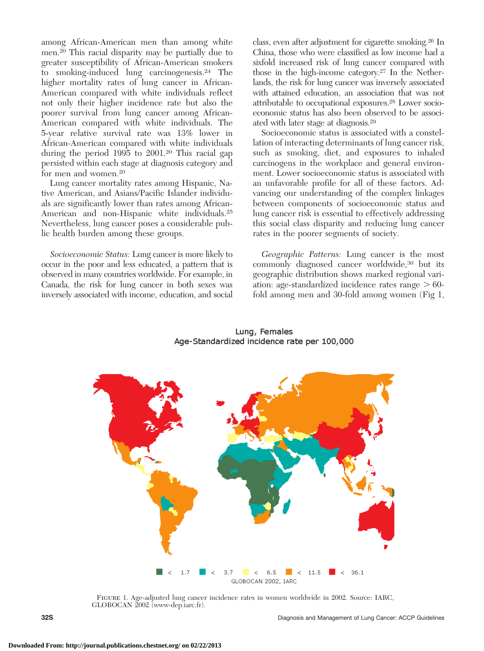among African-American men than among white men.20 This racial disparity may be partially due to greater susceptibility of African-American smokers to smoking-induced lung carcinogenesis.24 The higher mortality rates of lung cancer in African-American compared with white individuals reflect not only their higher incidence rate but also the poorer survival from lung cancer among African-American compared with white individuals. The 5-year relative survival rate was 13% lower in African-American compared with white individuals during the period 1995 to 2001.20 This racial gap persisted within each stage at diagnosis category and for men and women.20

Lung cancer mortality rates among Hispanic, Native American, and Asians/Pacific Islander individuals are significantly lower than rates among African-American and non-Hispanic white individuals.25 Nevertheless, lung cancer poses a considerable public health burden among these groups.

*Socioeconomic Status:* Lung cancer is more likely to occur in the poor and less educated, a pattern that is observed in many countries worldwide. For example, in Canada, the risk for lung cancer in both sexes was inversely associated with income, education, and social

class, even after adjustment for cigarette smoking.26 In China, those who were classified as low income had a sixfold increased risk of lung cancer compared with those in the high-income category.27 In the Netherlands, the risk for lung cancer was inversely associated with attained education, an association that was not attributable to occupational exposures.28 Lower socioeconomic status has also been observed to be associated with later stage at diagnosis.29

Socioeconomic status is associated with a constellation of interacting determinants of lung cancer risk, such as smoking, diet, and exposures to inhaled carcinogens in the workplace and general environment. Lower socioeconomic status is associated with an unfavorable profile for all of these factors. Advancing our understanding of the complex linkages between components of socioeconomic status and lung cancer risk is essential to effectively addressing this social class disparity and reducing lung cancer rates in the poorer segments of society.

*Geographic Patterns:* Lung cancer is the most commonly diagnosed cancer worldwide,<sup>30</sup> but its geographic distribution shows marked regional variation: age-standardized incidence rates range  $>60$ fold among men and 30-fold among women (Fig 1,



Figure 1. Age-adjusted lung cancer incidence rates in women worldwide in 2002. Source: IARC, GLOBOCAN 2002 (www-dep.iarc.fr).

# Lung, Females Age-Standardized incidence rate per 100,000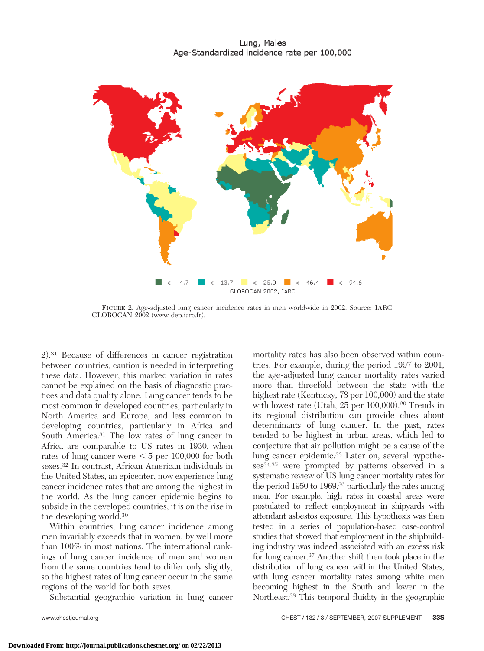

Figure 2. Age-adjusted lung cancer incidence rates in men worldwide in 2002. Source: IARC, GLOBOCAN 2002 (www-dep.iarc.fr).

2).31 Because of differences in cancer registration between countries, caution is needed in interpreting these data. However, this marked variation in rates cannot be explained on the basis of diagnostic practices and data quality alone. Lung cancer tends to be most common in developed countries, particularly in North America and Europe, and less common in developing countries, particularly in Africa and South America.31 The low rates of lung cancer in Africa are comparable to US rates in 1930, when rates of lung cancer were  $\leq 5$  per 100,000 for both sexes.32 In contrast, African-American individuals in the United States, an epicenter, now experience lung cancer incidence rates that are among the highest in the world. As the lung cancer epidemic begins to subside in the developed countries, it is on the rise in the developing world.30

Within countries, lung cancer incidence among men invariably exceeds that in women, by well more than 100% in most nations. The international rankings of lung cancer incidence of men and women from the same countries tend to differ only slightly, so the highest rates of lung cancer occur in the same regions of the world for both sexes.

Substantial geographic variation in lung cancer

mortality rates has also been observed within countries. For example, during the period 1997 to 2001, the age-adjusted lung cancer mortality rates varied more than threefold between the state with the highest rate (Kentucky, 78 per 100,000) and the state with lowest rate (Utah, 25 per 100,000).<sup>20</sup> Trends in its regional distribution can provide clues about determinants of lung cancer. In the past, rates tended to be highest in urban areas, which led to conjecture that air pollution might be a cause of the lung cancer epidemic.<sup>33</sup> Later on, several hypothe $ses^{34,35}$  were prompted by patterns observed in a systematic review of US lung cancer mortality rates for the period 1950 to 1969,<sup>36</sup> particularly the rates among men. For example, high rates in coastal areas were postulated to reflect employment in shipyards with attendant asbestos exposure. This hypothesis was then tested in a series of population-based case-control studies that showed that employment in the shipbuilding industry was indeed associated with an excess risk for lung cancer.37 Another shift then took place in the distribution of lung cancer within the United States, with lung cancer mortality rates among white men becoming highest in the South and lower in the Northeast.38 This temporal fluidity in the geographic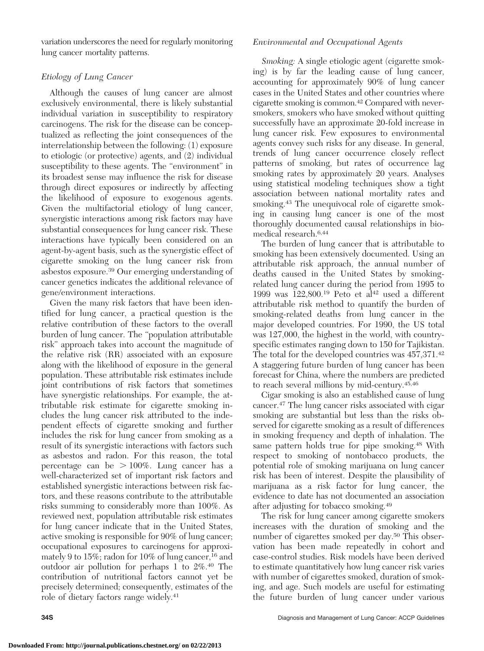variation underscores the need for regularly monitoring lung cancer mortality patterns.

## *Etiology of Lung Cancer*

Although the causes of lung cancer are almost exclusively environmental, there is likely substantial individual variation in susceptibility to respiratory carcinogens. The risk for the disease can be conceptualized as reflecting the joint consequences of the interrelationship between the following: (1) exposure to etiologic (or protective) agents, and (2) individual susceptibility to these agents. The "environment" in its broadest sense may influence the risk for disease through direct exposures or indirectly by affecting the likelihood of exposure to exogenous agents. Given the multifactorial etiology of lung cancer, synergistic interactions among risk factors may have substantial consequences for lung cancer risk. These interactions have typically been considered on an agent-by-agent basis, such as the synergistic effect of cigarette smoking on the lung cancer risk from asbestos exposure.39 Our emerging understanding of cancer genetics indicates the additional relevance of gene/environment interactions.

Given the many risk factors that have been identified for lung cancer, a practical question is the relative contribution of these factors to the overall burden of lung cancer. The "population attributable risk" approach takes into account the magnitude of the relative risk (RR) associated with an exposure along with the likelihood of exposure in the general population. These attributable risk estimates include joint contributions of risk factors that sometimes have synergistic relationships. For example, the attributable risk estimate for cigarette smoking includes the lung cancer risk attributed to the independent effects of cigarette smoking and further includes the risk for lung cancer from smoking as a result of its synergistic interactions with factors such as asbestos and radon. For this reason, the total percentage can be  $> 100\%$ . Lung cancer has a well-characterized set of important risk factors and established synergistic interactions between risk factors, and these reasons contribute to the attributable risks summing to considerably more than 100%. As reviewed next, population attributable risk estimates for lung cancer indicate that in the United States, active smoking is responsible for 90% of lung cancer; occupational exposures to carcinogens for approximately 9 to 15%; radon for 10% of lung cancer,  $^{16}$  and outdoor air pollution for perhaps 1 to 2%.40 The contribution of nutritional factors cannot yet be precisely determined; consequently, estimates of the role of dietary factors range widely.41

## *Environmental and Occupational Agents*

*Smoking:* A single etiologic agent (cigarette smoking) is by far the leading cause of lung cancer, accounting for approximately 90% of lung cancer cases in the United States and other countries where cigarette smoking is common.42 Compared with neversmokers, smokers who have smoked without quitting successfully have an approximate 20-fold increase in lung cancer risk. Few exposures to environmental agents convey such risks for any disease. In general, trends of lung cancer occurrence closely reflect patterns of smoking, but rates of occurrence lag smoking rates by approximately 20 years. Analyses using statistical modeling techniques show a tight association between national mortality rates and smoking.43 The unequivocal role of cigarette smoking in causing lung cancer is one of the most thoroughly documented causal relationships in biomedical research.6,44

The burden of lung cancer that is attributable to smoking has been extensively documented. Using an attributable risk approach, the annual number of deaths caused in the United States by smokingrelated lung cancer during the period from 1995 to 1999 was  $122,800$ .<sup>19</sup> Peto et al<sup>42</sup> used a different attributable risk method to quantify the burden of smoking-related deaths from lung cancer in the major developed countries. For 1990, the US total was 127,000, the highest in the world, with countryspecific estimates ranging down to 150 for Tajikistan. The total for the developed countries was 457,371.42 A staggering future burden of lung cancer has been forecast for China, where the numbers are predicted to reach several millions by mid-century.45,46

Cigar smoking is also an established cause of lung cancer.47 The lung cancer risks associated with cigar smoking are substantial but less than the risks observed for cigarette smoking as a result of differences in smoking frequency and depth of inhalation. The same pattern holds true for pipe smoking.<sup>48</sup> With respect to smoking of nontobacco products, the potential role of smoking marijuana on lung cancer risk has been of interest. Despite the plausibility of marijuana as a risk factor for lung cancer, the evidence to date has not documented an association after adjusting for tobacco smoking.49

The risk for lung cancer among cigarette smokers increases with the duration of smoking and the number of cigarettes smoked per day.50 This observation has been made repeatedly in cohort and case-control studies. Risk models have been derived to estimate quantitatively how lung cancer risk varies with number of cigarettes smoked, duration of smoking, and age. Such models are useful for estimating the future burden of lung cancer under various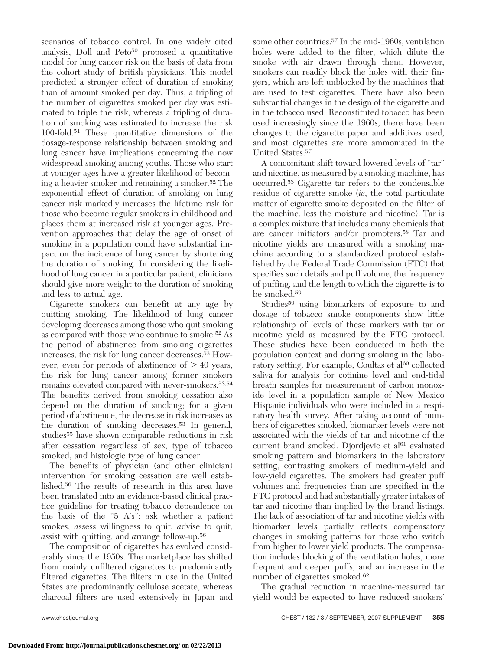scenarios of tobacco control. In one widely cited analysis, Doll and Peto<sup>50</sup> proposed a quantitative model for lung cancer risk on the basis of data from the cohort study of British physicians. This model predicted a stronger effect of duration of smoking than of amount smoked per day. Thus, a tripling of the number of cigarettes smoked per day was estimated to triple the risk, whereas a tripling of duration of smoking was estimated to increase the risk 100-fold.51 These quantitative dimensions of the dosage-response relationship between smoking and lung cancer have implications concerning the now widespread smoking among youths. Those who start at younger ages have a greater likelihood of becoming a heavier smoker and remaining a smoker.52 The exponential effect of duration of smoking on lung cancer risk markedly increases the lifetime risk for those who become regular smokers in childhood and places them at increased risk at younger ages. Prevention approaches that delay the age of onset of smoking in a population could have substantial impact on the incidence of lung cancer by shortening the duration of smoking. In considering the likelihood of lung cancer in a particular patient, clinicians should give more weight to the duration of smoking and less to actual age.

Cigarette smokers can benefit at any age by quitting smoking. The likelihood of lung cancer developing decreases among those who quit smoking as compared with those who continue to smoke.52 As the period of abstinence from smoking cigarettes increases, the risk for lung cancer decreases.<sup>53</sup> However, even for periods of abstinence of  $> 40$  years, the risk for lung cancer among former smokers remains elevated compared with never-smokers.53,54 The benefits derived from smoking cessation also depend on the duration of smoking; for a given period of abstinence, the decrease in risk increases as the duration of smoking decreases.53 In general, studies<sup>55</sup> have shown comparable reductions in risk after cessation regardless of sex, type of tobacco smoked, and histologic type of lung cancer.

The benefits of physician (and other clinician) intervention for smoking cessation are well established.56 The results of research in this area have been translated into an evidence-based clinical practice guideline for treating tobacco dependence on the basis of the "5 A's": *a*sk whether a patient smokes, *a*ssess willingness to quit, *a*dvise to quit, *a*ssist with quitting, and *a*rrange follow-up.56

The composition of cigarettes has evolved considerably since the 1950s. The marketplace has shifted from mainly unfiltered cigarettes to predominantly filtered cigarettes. The filters in use in the United States are predominantly cellulose acetate, whereas charcoal filters are used extensively in Japan and

some other countries.<sup>57</sup> In the mid-1960s, ventilation holes were added to the filter, which dilute the smoke with air drawn through them. However, smokers can readily block the holes with their fingers, which are left unblocked by the machines that are used to test cigarettes. There have also been substantial changes in the design of the cigarette and in the tobacco used. Reconstituted tobacco has been used increasingly since the 1960s, there have been changes to the cigarette paper and additives used, and most cigarettes are more ammoniated in the United States.57

A concomitant shift toward lowered levels of "tar" and nicotine, as measured by a smoking machine, has occurred.58 Cigarette tar refers to the condensable residue of cigarette smoke (*ie*, the total particulate matter of cigarette smoke deposited on the filter of the machine, less the moisture and nicotine). Tar is a complex mixture that includes many chemicals that are cancer initiators and/or promoters.58 Tar and nicotine yields are measured with a smoking machine according to a standardized protocol established by the Federal Trade Commission (FTC) that specifies such details and puff volume, the frequency of puffing, and the length to which the cigarette is to be smoked.59

Studies<sup>59</sup> using biomarkers of exposure to and dosage of tobacco smoke components show little relationship of levels of these markers with tar or nicotine yield as measured by the FTC protocol. These studies have been conducted in both the population context and during smoking in the laboratory setting. For example, Coultas et al<sup>60</sup> collected saliva for analysis for cotinine level and end-tidal breath samples for measurement of carbon monoxide level in a population sample of New Mexico Hispanic individuals who were included in a respiratory health survey. After taking account of numbers of cigarettes smoked, biomarker levels were not associated with the yields of tar and nicotine of the current brand smoked. Djordjevic et al<sup>61</sup> evaluated smoking pattern and biomarkers in the laboratory setting, contrasting smokers of medium-yield and low-yield cigarettes. The smokers had greater puff volumes and frequencies than are specified in the FTC protocol and had substantially greater intakes of tar and nicotine than implied by the brand listings. The lack of association of tar and nicotine yields with biomarker levels partially reflects compensatory changes in smoking patterns for those who switch from higher to lower yield products. The compensation includes blocking of the ventilation holes, more frequent and deeper puffs, and an increase in the number of cigarettes smoked.62

The gradual reduction in machine-measured tar yield would be expected to have reduced smokers'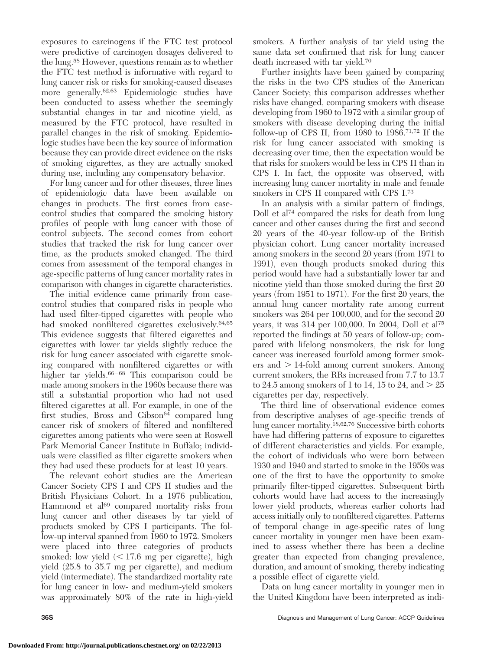exposures to carcinogens if the FTC test protocol were predictive of carcinogen dosages delivered to the lung.58 However, questions remain as to whether the FTC test method is informative with regard to lung cancer risk or risks for smoking-caused diseases more generally.62,63 Epidemiologic studies have been conducted to assess whether the seemingly substantial changes in tar and nicotine yield, as measured by the FTC protocol, have resulted in parallel changes in the risk of smoking. Epidemiologic studies have been the key source of information because they can provide direct evidence on the risks of smoking cigarettes, as they are actually smoked during use, including any compensatory behavior.

For lung cancer and for other diseases, three lines of epidemiologic data have been available on changes in products. The first comes from casecontrol studies that compared the smoking history profiles of people with lung cancer with those of control subjects. The second comes from cohort studies that tracked the risk for lung cancer over time, as the products smoked changed. The third comes from assessment of the temporal changes in age-specific patterns of lung cancer mortality rates in comparison with changes in cigarette characteristics.

The initial evidence came primarily from casecontrol studies that compared risks in people who had used filter-tipped cigarettes with people who had smoked nonfiltered cigarettes exclusively.64,65 This evidence suggests that filtered cigarettes and cigarettes with lower tar yields slightly reduce the risk for lung cancer associated with cigarette smoking compared with nonfiltered cigarettes or with higher tar yields. $66 - 68$  This comparison could be made among smokers in the 1960s because there was still a substantial proportion who had not used filtered cigarettes at all. For example, in one of the first studies, Bross and Gibson $64$  compared lung cancer risk of smokers of filtered and nonfiltered cigarettes among patients who were seen at Roswell Park Memorial Cancer Institute in Buffalo; individuals were classified as filter cigarette smokers when they had used these products for at least 10 years.

The relevant cohort studies are the American Cancer Society CPS I and CPS II studies and the British Physicians Cohort. In a 1976 publication, Hammond et al<sup>69</sup> compared mortality risks from lung cancer and other diseases by tar yield of products smoked by CPS I participants. The follow-up interval spanned from 1960 to 1972. Smokers were placed into three categories of products smoked: low yield  $\approx 17.6$  mg per cigarette), high yield (25.8 to 35.7 mg per cigarette), and medium yield (intermediate). The standardized mortality rate for lung cancer in low- and medium-yield smokers was approximately 80% of the rate in high-yield smokers. A further analysis of tar yield using the same data set confirmed that risk for lung cancer death increased with tar yield.70

Further insights have been gained by comparing the risks in the two CPS studies of the American Cancer Society; this comparison addresses whether risks have changed, comparing smokers with disease developing from 1960 to 1972 with a similar group of smokers with disease developing during the initial follow-up of CPS II, from 1980 to 1986.71,72 If the risk for lung cancer associated with smoking is decreasing over time, then the expectation would be that risks for smokers would be less in CPS II than in CPS I. In fact, the opposite was observed, with increasing lung cancer mortality in male and female smokers in CPS II compared with CPS I.73

In an analysis with a similar pattern of findings, Doll et al74 compared the risks for death from lung cancer and other causes during the first and second 20 years of the 40-year follow-up of the British physician cohort. Lung cancer mortality increased among smokers in the second 20 years (from 1971 to 1991), even though products smoked during this period would have had a substantially lower tar and nicotine yield than those smoked during the first 20 years (from 1951 to 1971). For the first 20 years, the annual lung cancer mortality rate among current smokers was 264 per 100,000, and for the second 20 years, it was 314 per 100,000. In 2004, Doll et al75 reported the findings at 50 years of follow-up; compared with lifelong nonsmokers, the risk for lung cancer was increased fourfold among former smokers and  $>$  14-fold among current smokers. Among current smokers, the RRs increased from 7.7 to 13.7 to 24.5 among smokers of 1 to 14, 15 to 24, and  $>$  25  $\,$ cigarettes per day, respectively.

The third line of observational evidence comes from descriptive analyses of age-specific trends of lung cancer mortality.18,62,76 Successive birth cohorts have had differing patterns of exposure to cigarettes of different characteristics and yields. For example, the cohort of individuals who were born between 1930 and 1940 and started to smoke in the 1950s was one of the first to have the opportunity to smoke primarily filter-tipped cigarettes. Subsequent birth cohorts would have had access to the increasingly lower yield products, whereas earlier cohorts had access initially only to nonfiltered cigarettes. Patterns of temporal change in age-specific rates of lung cancer mortality in younger men have been examined to assess whether there has been a decline greater than expected from changing prevalence, duration, and amount of smoking, thereby indicating a possible effect of cigarette yield.

Data on lung cancer mortality in younger men in the United Kingdom have been interpreted as indi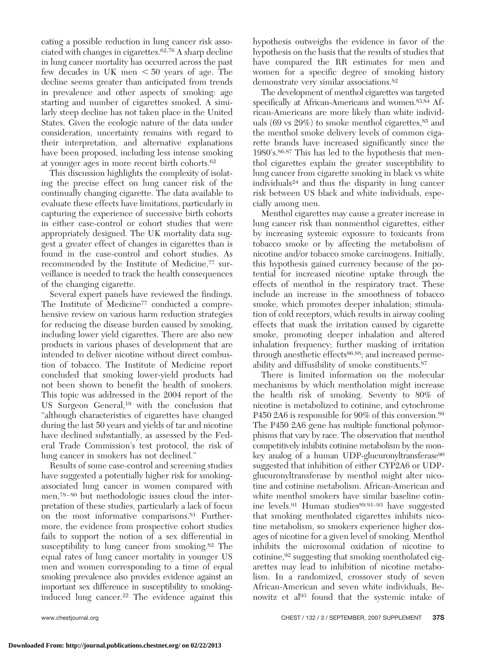cating a possible reduction in lung cancer risk associated with changes in cigarettes.62,76 A sharp decline in lung cancer mortality has occurred across the past few decades in UK men  $\leq 50$  years of age. The decline seems greater than anticipated from trends in prevalence and other aspects of smoking: age starting and number of cigarettes smoked. A similarly steep decline has not taken place in the United States. Given the ecologic nature of the data under consideration, uncertainty remains with regard to their interpretation, and alternative explanations have been proposed, including less intense smoking at younger ages in more recent birth cohorts.62

This discussion highlights the complexity of isolating the precise effect on lung cancer risk of the continually changing cigarette. The data available to evaluate these effects have limitations, particularly in capturing the experience of successive birth cohorts in either case-control or cohort studies that were appropriately designed. The UK mortality data suggest a greater effect of changes in cigarettes than is found in the case-control and cohort studies. As recommended by the Institute of Medicine,<sup>77</sup> surveillance is needed to track the health consequences of the changing cigarette.

Several expert panels have reviewed the findings. The Institute of Medicine<sup>77</sup> conducted a comprehensive review on various harm reduction strategies for reducing the disease burden caused by smoking, including lower yield cigarettes. There are also new products in various phases of development that are intended to deliver nicotine without direct combustion of tobacco. The Institute of Medicine report concluded that smoking lower-yield products had not been shown to benefit the health of smokers. This topic was addressed in the 2004 report of the US Surgeon General,19 with the conclusion that "although characteristics of cigarettes have changed during the last 50 years and yields of tar and nicotine have declined substantially, as assessed by the Federal Trade Commission's test protocol, the risk of lung cancer in smokers has not declined."

Results of some case-control and screening studies have suggested a potentially higher risk for smokingassociated lung cancer in women compared with men,<sup>78-80</sup> but methodologic issues cloud the interpretation of these studies, particularly a lack of focus on the most informative comparisons.81 Furthermore, the evidence from prospective cohort studies fails to support the notion of a sex differential in susceptibility to lung cancer from smoking.<sup>82</sup> The equal rates of lung cancer mortality in younger US men and women corresponding to a time of equal smoking prevalence also provides evidence against an important sex difference in susceptibility to smokinginduced lung cancer.22 The evidence against this hypothesis outweighs the evidence in favor of the hypothesis on the basis that the results of studies that have compared the RR estimates for men and women for a specific degree of smoking history demonstrate very similar associations.82

The development of menthol cigarettes was targeted specifically at African-Americans and women.83,84 African-Americans are more likely than white individuals (69 vs  $29\%$ ) to smoke menthol cigarettes,  $85$  and the menthol smoke delivery levels of common cigarette brands have increased significantly since the 1980's.86,87 This has led to the hypothesis that menthol cigarettes explain the greater susceptibility to lung cancer from cigarette smoking in black vs white individuals24 and thus the disparity in lung cancer risk between US black and white individuals, especially among men.

Menthol cigarettes may cause a greater increase in lung cancer risk than nonmenthol cigarettes, either by increasing systemic exposure to toxicants from tobacco smoke or by affecting the metabolism of nicotine and/or tobacco smoke carcinogens. Initially, this hypothesis gained currency because of the potential for increased nicotine uptake through the effects of menthol in the respiratory tract. These include an increase in the smoothness of tobacco smoke, which promotes deeper inhalation; stimulation of cold receptors, which results in airway cooling effects that mask the irritation caused by cigarette smoke, promoting deeper inhalation and altered inhalation frequency; further masking of irritation through anesthetic effects<sup>86,88</sup>; and increased permeability and diffusibility of smoke constituents.87

There is limited information on the molecular mechanisms by which mentholation might increase the health risk of smoking. Seventy to 80% of nicotine is metabolized to cotinine, and cytochrome P450 2A6 is responsible for 90% of this conversion.<sup>89</sup> The P450 2A6 gene has multiple functional polymorphisms that vary by race. The observation that menthol competitively inhibits cotinine metabolism by the monkey analog of a human UDP-glucuronyltransferase<sup>90</sup> suggested that inhibition of either CYP2A6 or UDPglucuronyltransferase by menthol might alter nicotine and cotinine metabolism. African-American and white menthol smokers have similar baseline cotinine levels.<sup>91</sup> Human studies<sup>89,91–93</sup> have suggested that smoking mentholated cigarettes inhibits nicotine metabolism, so smokers experience higher dosages of nicotine for a given level of smoking. Menthol inhibits the microsomal oxidation of nicotine to cotinine,92 suggesting that smoking mentholated cigarettes may lead to inhibition of nicotine metabolism. In a randomized, crossover study of seven African-American and seven white individuals, Benowitz et al<sup>93</sup> found that the systemic intake of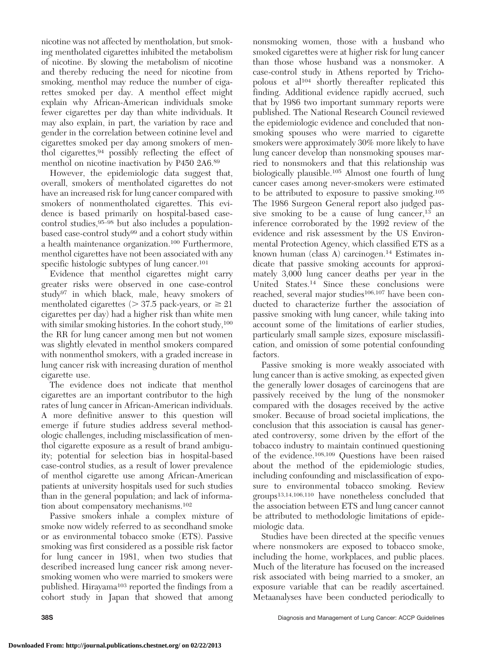nicotine was not affected by mentholation, but smoking mentholated cigarettes inhibited the metabolism of nicotine. By slowing the metabolism of nicotine and thereby reducing the need for nicotine from smoking, menthol may reduce the number of cigarettes smoked per day. A menthol effect might explain why African-American individuals smoke fewer cigarettes per day than white individuals. It may also explain, in part, the variation by race and gender in the correlation between cotinine level and cigarettes smoked per day among smokers of menthol cigarettes,94 possibly reflecting the effect of menthol on nicotine inactivation by P450 2A6.89

However, the epidemiologic data suggest that, overall, smokers of mentholated cigarettes do not have an increased risk for lung cancer compared with smokers of nonmentholated cigarettes. This evidence is based primarily on hospital-based casecontrol studies,95–98 but also includes a populationbased case-control study<sup>99</sup> and a cohort study within a health maintenance organization.100 Furthermore, menthol cigarettes have not been associated with any specific histologic subtypes of lung cancer.<sup>101</sup>

Evidence that menthol cigarettes might carry greater risks were observed in one case-control study97 in which black, male, heavy smokers of mentholated cigarettes  $(> 37.5 \text{ pack-years}, \text{ or } \geq 21)$ cigarettes per day) had a higher risk than white men with similar smoking histories. In the cohort study,<sup>100</sup> the RR for lung cancer among men but not women was slightly elevated in menthol smokers compared with nonmenthol smokers, with a graded increase in lung cancer risk with increasing duration of menthol cigarette use.

The evidence does not indicate that menthol cigarettes are an important contributor to the high rates of lung cancer in African-American individuals. A more definitive answer to this question will emerge if future studies address several methodologic challenges, including misclassification of menthol cigarette exposure as a result of brand ambiguity; potential for selection bias in hospital-based case-control studies, as a result of lower prevalence of menthol cigarette use among African-American patients at university hospitals used for such studies than in the general population; and lack of information about compensatory mechanisms.<sup>102</sup>

Passive smokers inhale a complex mixture of smoke now widely referred to as secondhand smoke or as environmental tobacco smoke (ETS). Passive smoking was first considered as a possible risk factor for lung cancer in 1981, when two studies that described increased lung cancer risk among neversmoking women who were married to smokers were published. Hirayama<sup>103</sup> reported the findings from a cohort study in Japan that showed that among

nonsmoking women, those with a husband who smoked cigarettes were at higher risk for lung cancer than those whose husband was a nonsmoker. A case-control study in Athens reported by Trichopolous et al104 shortly thereafter replicated this finding. Additional evidence rapidly accrued, such that by 1986 two important summary reports were published. The National Research Council reviewed the epidemiologic evidence and concluded that nonsmoking spouses who were married to cigarette smokers were approximately 30% more likely to have lung cancer develop than nonsmoking spouses married to nonsmokers and that this relationship was biologically plausible.105 Almost one fourth of lung cancer cases among never-smokers were estimated to be attributed to exposure to passive smoking.105 The 1986 Surgeon General report also judged passive smoking to be a cause of lung cancer, $13$  an inference corroborated by the 1992 review of the evidence and risk assessment by the US Environmental Protection Agency, which classified ETS as a known human (class  $A$ ) carcinogen.<sup>14</sup> Estimates indicate that passive smoking accounts for approximately 3,000 lung cancer deaths per year in the United States.14 Since these conclusions were reached, several major studies<sup>106,107</sup> have been conducted to characterize further the association of passive smoking with lung cancer, while taking into account some of the limitations of earlier studies, particularly small sample sizes, exposure misclassification, and omission of some potential confounding factors.

Passive smoking is more weakly associated with lung cancer than is active smoking, as expected given the generally lower dosages of carcinogens that are passively received by the lung of the nonsmoker compared with the dosages received by the active smoker. Because of broad societal implications, the conclusion that this association is causal has generated controversy, some driven by the effort of the tobacco industry to maintain continued questioning of the evidence.108,109 Questions have been raised about the method of the epidemiologic studies, including confounding and misclassification of exposure to environmental tobacco smoking. Review groups13,14,106,110 have nonetheless concluded that the association between ETS and lung cancer cannot be attributed to methodologic limitations of epidemiologic data.

Studies have been directed at the specific venues where nonsmokers are exposed to tobacco smoke, including the home, workplaces, and public places. Much of the literature has focused on the increased risk associated with being married to a smoker, an exposure variable that can be readily ascertained. Metaanalyses have been conducted periodically to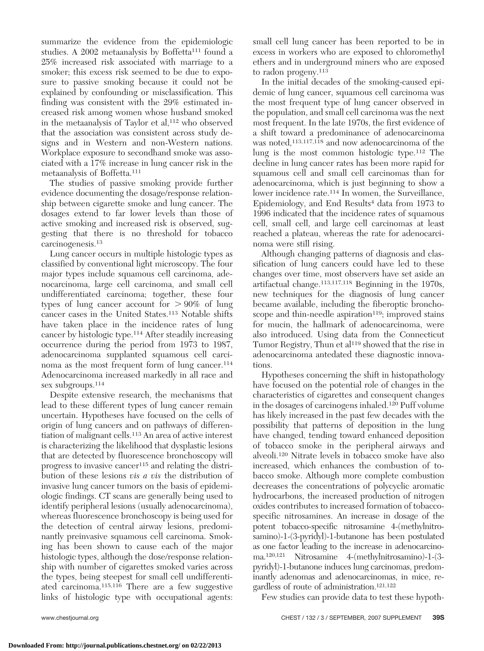summarize the evidence from the epidemiologic studies. A 2002 metaanalysis by Boffetta<sup>111</sup> found a 25% increased risk associated with marriage to a smoker; this excess risk seemed to be due to exposure to passive smoking because it could not be explained by confounding or misclassification. This finding was consistent with the 29% estimated increased risk among women whose husband smoked in the metaanalysis of Taylor et al,<sup>112</sup> who observed that the association was consistent across study designs and in Western and non-Western nations. Workplace exposure to secondhand smoke was associated with a 17% increase in lung cancer risk in the metaanalysis of Boffetta.111

The studies of passive smoking provide further evidence documenting the dosage/response relationship between cigarette smoke and lung cancer. The dosages extend to far lower levels than those of active smoking and increased risk is observed, suggesting that there is no threshold for tobacco carcinogenesis.13

Lung cancer occurs in multiple histologic types as classified by conventional light microscopy. The four major types include squamous cell carcinoma, adenocarcinoma, large cell carcinoma, and small cell undifferentiated carcinoma; together, these four types of lung cancer account for  $> 90\%$  of lung cancer cases in the United States.113 Notable shifts have taken place in the incidence rates of lung cancer by histologic type.114 After steadily increasing occurrence during the period from 1973 to 1987, adenocarcinoma supplanted squamous cell carcinoma as the most frequent form of lung cancer.<sup>114</sup> Adenocarcinoma increased markedly in all race and sex subgroups.<sup>114</sup>

Despite extensive research, the mechanisms that lead to these different types of lung cancer remain uncertain. Hypotheses have focused on the cells of origin of lung cancers and on pathways of differentiation of malignant cells.113 An area of active interest is characterizing the likelihood that dysplastic lesions that are detected by fluorescence bronchoscopy will progress to invasive cancer<sup>115</sup> and relating the distribution of these lesions *vis a vis* the distribution of invasive lung cancer tumors on the basis of epidemiologic findings. CT scans are generally being used to identify peripheral lesions (usually adenocarcinoma), whereas fluorescence bronchoscopy is being used for the detection of central airway lesions, predominantly preinvasive squamous cell carcinoma. Smoking has been shown to cause each of the major histologic types, although the dose/response relationship with number of cigarettes smoked varies across the types, being steepest for small cell undifferentiated carcinoma.115,116 There are a few suggestive links of histologic type with occupational agents:

small cell lung cancer has been reported to be in excess in workers who are exposed to chloromethyl ethers and in underground miners who are exposed to radon progeny.113

In the initial decades of the smoking-caused epidemic of lung cancer, squamous cell carcinoma was the most frequent type of lung cancer observed in the population, and small cell carcinoma was the next most frequent. In the late 1970s, the first evidence of a shift toward a predominance of adenocarcinoma was noted,<sup>113,117,118</sup> and now adenocarcinoma of the lung is the most common histologic type.112 The decline in lung cancer rates has been more rapid for squamous cell and small cell carcinomas than for adenocarcinoma, which is just beginning to show a lower incidence rate.<sup>114</sup> In women, the Surveillance, Epidemiology, and End Results<sup>4</sup> data from 1973 to 1996 indicated that the incidence rates of squamous cell, small cell, and large cell carcinomas at least reached a plateau, whereas the rate for adenocarcinoma were still rising.

Although changing patterns of diagnosis and classification of lung cancers could have led to these changes over time, most observers have set aside an artifactual change.113,117,118 Beginning in the 1970s, new techniques for the diagnosis of lung cancer became available, including the fiberoptic bronchoscope and thin-needle aspiration $119$ ; improved stains for mucin, the hallmark of adenocarcinoma, were also introduced. Using data from the Connecticut Tumor Registry, Thun et al<sup>119</sup> showed that the rise in adenocarcinoma antedated these diagnostic innovations.

Hypotheses concerning the shift in histopathology have focused on the potential role of changes in the characteristics of cigarettes and consequent changes in the dosages of carcinogens inhaled.120 Puff volume has likely increased in the past few decades with the possibility that patterns of deposition in the lung have changed, tending toward enhanced deposition of tobacco smoke in the peripheral airways and alveoli.120 Nitrate levels in tobacco smoke have also increased, which enhances the combustion of tobacco smoke. Although more complete combustion decreases the concentrations of polycyclic aromatic hydrocarbons, the increased production of nitrogen oxides contributes to increased formation of tobaccospecific nitrosamines. An increase in dosage of the potent tobacco-specific nitrosamine 4-(methylnitrosamino)-1-(3-pyridyl)-1-butanone has been postulated as one factor leading to the increase in adenocarcinoma.120,121 Nitrosamine 4-(methylnitrosamino)-1-(3 pyridyl)-1-butanone induces lung carcinomas, predominantly adenomas and adenocarcinomas, in mice, regardless of route of administration.121,122

Few studies can provide data to test these hypoth-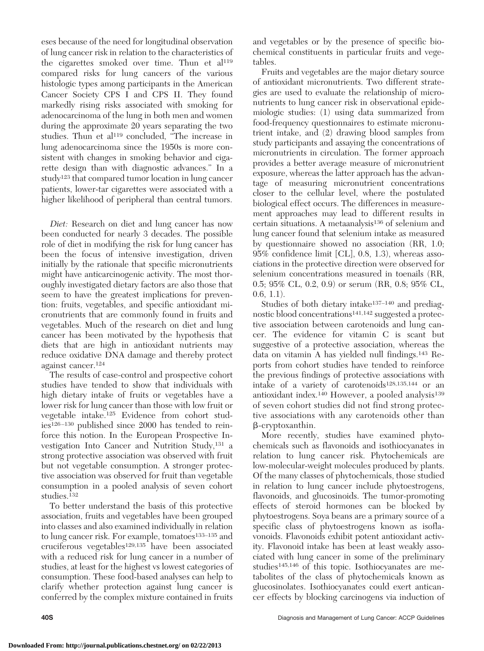eses because of the need for longitudinal observation of lung cancer risk in relation to the characteristics of the cigarettes smoked over time. Thun et al<sup>119</sup> compared risks for lung cancers of the various histologic types among participants in the American Cancer Society CPS I and CPS II. They found markedly rising risks associated with smoking for adenocarcinoma of the lung in both men and women during the approximate 20 years separating the two studies. Thun et al<sup>119</sup> concluded, "The increase in lung adenocarcinoma since the 1950s is more consistent with changes in smoking behavior and cigarette design than with diagnostic advances." In a study123 that compared tumor location in lung cancer patients, lower-tar cigarettes were associated with a higher likelihood of peripheral than central tumors.

*Diet:* Research on diet and lung cancer has now been conducted for nearly 3 decades. The possible role of diet in modifying the risk for lung cancer has been the focus of intensive investigation, driven initially by the rationale that specific micronutrients might have anticarcinogenic activity. The most thoroughly investigated dietary factors are also those that seem to have the greatest implications for prevention: fruits, vegetables, and specific antioxidant micronutrients that are commonly found in fruits and vegetables. Much of the research on diet and lung cancer has been motivated by the hypothesis that diets that are high in antioxidant nutrients may reduce oxidative DNA damage and thereby protect against cancer.124

The results of case-control and prospective cohort studies have tended to show that individuals with high dietary intake of fruits or vegetables have a lower risk for lung cancer than those with low fruit or vegetable intake.125 Evidence from cohort stud $ies^{126-130}$  published since 2000 has tended to reinforce this notion. In the European Prospective Investigation Into Cancer and Nutrition Study,131 a strong protective association was observed with fruit but not vegetable consumption. A stronger protective association was observed for fruit than vegetable consumption in a pooled analysis of seven cohort studies.<sup>132</sup>

To better understand the basis of this protective association, fruits and vegetables have been grouped into classes and also examined individually in relation to lung cancer risk. For example, tomatoes<sup>133-135</sup> and cruciferous vegetables<sup>129,135</sup> have been associated with a reduced risk for lung cancer in a number of studies, at least for the highest vs lowest categories of consumption. These food-based analyses can help to clarify whether protection against lung cancer is conferred by the complex mixture contained in fruits

and vegetables or by the presence of specific biochemical constituents in particular fruits and vegetables.

Fruits and vegetables are the major dietary source of antioxidant micronutrients. Two different strategies are used to evaluate the relationship of micronutrients to lung cancer risk in observational epidemiologic studies: (1) using data summarized from food-frequency questionnaires to estimate micronutrient intake, and (2) drawing blood samples from study participants and assaying the concentrations of micronutrients in circulation. The former approach provides a better average measure of micronutrient exposure, whereas the latter approach has the advantage of measuring micronutrient concentrations closer to the cellular level, where the postulated biological effect occurs. The differences in measurement approaches may lead to different results in certain situations. A metaanalysis136 of selenium and lung cancer found that selenium intake as measured by questionnaire showed no association (RR, 1.0; 95% confidence limit [CL], 0.8, 1.3), whereas associations in the protective direction were observed for selenium concentrations measured in toenails (RR, 0.5; 95% CL, 0.2, 0.9) or serum (RR, 0.8; 95% CL, 0.6, 1.1).

Studies of both dietary intake<sup>137-140</sup> and prediagnostic blood concentrations<sup>141,142</sup> suggested a protective association between carotenoids and lung cancer. The evidence for vitamin C is scant but suggestive of a protective association, whereas the data on vitamin A has yielded null findings.143 Reports from cohort studies have tended to reinforce the previous findings of protective associations with intake of a variety of carotenoids128,135,144 or an antioxidant index.140 However, a pooled analysis139 of seven cohort studies did not find strong protective associations with any carotenoids other than  $\beta$ -cryptoxanthin.

More recently, studies have examined phytochemicals such as flavonoids and isothiocyanates in relation to lung cancer risk. Phytochemicals are low-molecular-weight molecules produced by plants. Of the many classes of phytochemicals, those studied in relation to lung cancer include phytoestrogens, flavonoids, and glucosinoids. The tumor-promoting effects of steroid hormones can be blocked by phytoestrogens. Soya beans are a primary source of a specific class of phytoestrogens known as isoflavonoids. Flavonoids exhibit potent antioxidant activity. Flavonoid intake has been at least weakly associated with lung cancer in some of the preliminary studies<sup>145,146</sup> of this topic. Isothiocyanates are metabolites of the class of phytochemicals known as glucosinolates. Isothiocyanates could exert anticancer effects by blocking carcinogens via induction of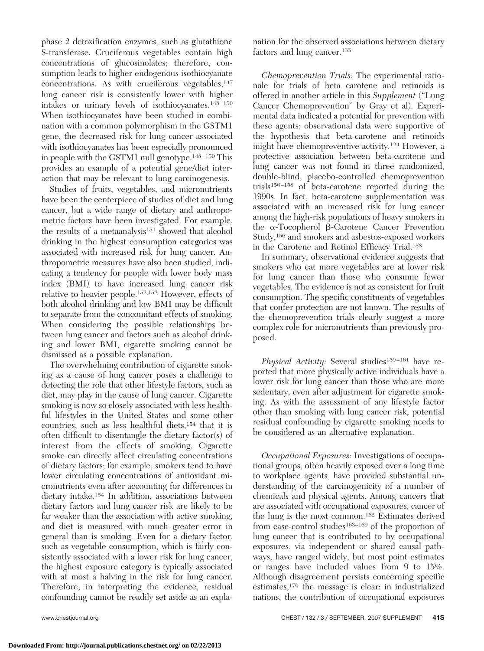phase 2 detoxification enzymes, such as glutathione S-transferase. Cruciferous vegetables contain high concentrations of glucosinolates; therefore, consumption leads to higher endogenous isothiocyanate concentrations. As with cruciferous vegetables,  $147$ lung cancer risk is consistently lower with higher intakes or urinary levels of isothiocyanates.<sup>148-150</sup> When isothiocyanates have been studied in combination with a common polymorphism in the GSTM1 gene, the decreased risk for lung cancer associated with isothiocyanates has been especially pronounced in people with the GSTM1 null genotype.148 –150 This provides an example of a potential gene/diet interaction that may be relevant to lung carcinogenesis.

Studies of fruits, vegetables, and micronutrients have been the centerpiece of studies of diet and lung cancer, but a wide range of dietary and anthropometric factors have been investigated. For example, the results of a metaanalysis<sup>151</sup> showed that alcohol drinking in the highest consumption categories was associated with increased risk for lung cancer. Anthropometric measures have also been studied, indicating a tendency for people with lower body mass index (BMI) to have increased lung cancer risk relative to heavier people.152,153 However, effects of both alcohol drinking and low BMI may be difficult to separate from the concomitant effects of smoking. When considering the possible relationships between lung cancer and factors such as alcohol drinking and lower BMI, cigarette smoking cannot be dismissed as a possible explanation.

The overwhelming contribution of cigarette smoking as a cause of lung cancer poses a challenge to detecting the role that other lifestyle factors, such as diet, may play in the cause of lung cancer. Cigarette smoking is now so closely associated with less healthful lifestyles in the United States and some other countries, such as less healthful diets,154 that it is often difficult to disentangle the dietary factor(s) of interest from the effects of smoking. Cigarette smoke can directly affect circulating concentrations of dietary factors; for example, smokers tend to have lower circulating concentrations of antioxidant micronutrients even after accounting for differences in dietary intake.154 In addition, associations between dietary factors and lung cancer risk are likely to be far weaker than the association with active smoking, and diet is measured with much greater error in general than is smoking. Even for a dietary factor, such as vegetable consumption, which is fairly consistently associated with a lower risk for lung cancer, the highest exposure category is typically associated with at most a halving in the risk for lung cancer. Therefore, in interpreting the evidence, residual confounding cannot be readily set aside as an expla-

nation for the observed associations between dietary factors and lung cancer.155

*Chemoprevention Trials:* The experimental rationale for trials of beta carotene and retinoids is offered in another article in this *Supplement* ("Lung Cancer Chemoprevention" by Gray et al). Experimental data indicated a potential for prevention with these agents; observational data were supportive of the hypothesis that beta-carotene and retinoids might have chemopreventive activity.124 However, a protective association between beta-carotene and lung cancer was not found in three randomized, double-blind, placebo-controlled chemoprevention trials156 –158 of beta-carotene reported during the 1990s. In fact, beta-carotene supplementation was associated with an increased risk for lung cancer among the high-risk populations of heavy smokers in the  $\alpha$ -Tocopherol  $\beta$ -Carotene Cancer Prevention Study,156 and smokers and asbestos-exposed workers in the Carotene and Retinol Efficacy Trial.158

In summary, observational evidence suggests that smokers who eat more vegetables are at lower risk for lung cancer than those who consume fewer vegetables. The evidence is not as consistent for fruit consumption. The specific constituents of vegetables that confer protection are not known. The results of the chemoprevention trials clearly suggest a more complex role for micronutrients than previously proposed.

*Physical Activity:* Several studies<sup>159-161</sup> have reported that more physically active individuals have a lower risk for lung cancer than those who are more sedentary, even after adjustment for cigarette smoking. As with the assessment of any lifestyle factor other than smoking with lung cancer risk, potential residual confounding by cigarette smoking needs to be considered as an alternative explanation.

*Occupational Exposures:* Investigations of occupational groups, often heavily exposed over a long time to workplace agents, have provided substantial understanding of the carcinogenicity of a number of chemicals and physical agents. Among cancers that are associated with occupational exposures, cancer of the lung is the most common.162 Estimates derived from case-control studies<sup>163–169</sup> of the proportion of lung cancer that is contributed to by occupational exposures, via independent or shared causal pathways, have ranged widely, but most point estimates or ranges have included values from 9 to 15%. Although disagreement persists concerning specific estimates,170 the message is clear: in industrialized nations, the contribution of occupational exposures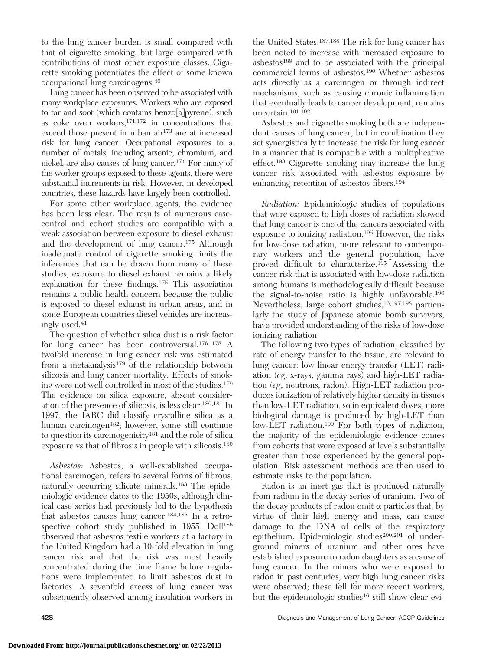to the lung cancer burden is small compared with that of cigarette smoking, but large compared with contributions of most other exposure classes. Cigarette smoking potentiates the effect of some known occupational lung carcinogens.40

Lung cancer has been observed to be associated with many workplace exposures. Workers who are exposed to tar and soot (which contains benzo[a] pyrene), such as coke oven workers, $171,172$  in concentrations that exceed those present in urban air<sup>173</sup> are at increased risk for lung cancer. Occupational exposures to a number of metals, including arsenic, chromium, and nickel, are also causes of lung cancer.174 For many of the worker groups exposed to these agents, there were substantial increments in risk. However, in developed countries, these hazards have largely been controlled.

For some other workplace agents, the evidence has been less clear. The results of numerous casecontrol and cohort studies are compatible with a weak association between exposure to diesel exhaust and the development of lung cancer.175 Although inadequate control of cigarette smoking limits the inferences that can be drawn from many of these studies, exposure to diesel exhaust remains a likely explanation for these findings.175 This association remains a public health concern because the public is exposed to diesel exhaust in urban areas, and in some European countries diesel vehicles are increasingly used.41

The question of whether silica dust is a risk factor for lung cancer has been controversial.<sup>176-178</sup> A twofold increase in lung cancer risk was estimated from a metaanalysis $179$  of the relationship between silicosis and lung cancer mortality. Effects of smoking were not well controlled in most of the studies.179 The evidence on silica exposure, absent consideration of the presence of silicosis, is less clear.180,181 In 1997, the IARC did classify crystalline silica as a human carcinogen<sup>182</sup>; however, some still continue to question its carcinogenicity181 and the role of silica exposure vs that of fibrosis in people with silicosis.180

*Asbestos:* Asbestos, a well-established occupational carcinogen, refers to several forms of fibrous, naturally occurring silicate minerals.183 The epidemiologic evidence dates to the 1950s, although clinical case series had previously led to the hypothesis that asbestos causes lung cancer.184,185 In a retrospective cohort study published in 1955, Doll<sup>186</sup> observed that asbestos textile workers at a factory in the United Kingdom had a 10-fold elevation in lung cancer risk and that the risk was most heavily concentrated during the time frame before regulations were implemented to limit asbestos dust in factories. A sevenfold excess of lung cancer was subsequently observed among insulation workers in

the United States.187,188 The risk for lung cancer has been noted to increase with increased exposure to asbestos189 and to be associated with the principal commercial forms of asbestos.190 Whether asbestos acts directly as a carcinogen or through indirect mechanisms, such as causing chronic inflammation that eventually leads to cancer development, remains uncertain.191,192

Asbestos and cigarette smoking both are independent causes of lung cancer, but in combination they act synergistically to increase the risk for lung cancer in a manner that is compatible with a multiplicative effect.193 Cigarette smoking may increase the lung cancer risk associated with asbestos exposure by enhancing retention of asbestos fibers.194

*Radiation:* Epidemiologic studies of populations that were exposed to high doses of radiation showed that lung cancer is one of the cancers associated with exposure to ionizing radiation.195 However, the risks for low-dose radiation, more relevant to contemporary workers and the general population, have proved difficult to characterize.195 Assessing the cancer risk that is associated with low-dose radiation among humans is methodologically difficult because the signal-to-noise ratio is highly unfavorable.196 Nevertheless, large cohort studies,16,197,198 particularly the study of Japanese atomic bomb survivors, have provided understanding of the risks of low-dose ionizing radiation.

The following two types of radiation, classified by rate of energy transfer to the tissue, are relevant to lung cancer: low linear energy transfer (LET) radiation (*eg*, x-rays, gamma rays) and high-LET radiation (*eg*, neutrons, radon). High-LET radiation produces ionization of relatively higher density in tissues than low-LET radiation, so in equivalent doses, more biological damage is produced by high-LET than low-LET radiation.<sup>199</sup> For both types of radiation, the majority of the epidemiologic evidence comes from cohorts that were exposed at levels substantially greater than those experienced by the general population. Risk assessment methods are then used to estimate risks to the population.

Radon is an inert gas that is produced naturally from radium in the decay series of uranium. Two of the decay products of radon emit  $\alpha$  particles that, by virtue of their high energy and mass, can cause damage to the DNA of cells of the respiratory epithelium. Epidemiologic studies<sup>200,201</sup> of underground miners of uranium and other ores have established exposure to radon daughters as a cause of lung cancer. In the miners who were exposed to radon in past centuries, very high lung cancer risks were observed; these fell for more recent workers, but the epidemiologic studies<sup>16</sup> still show clear evi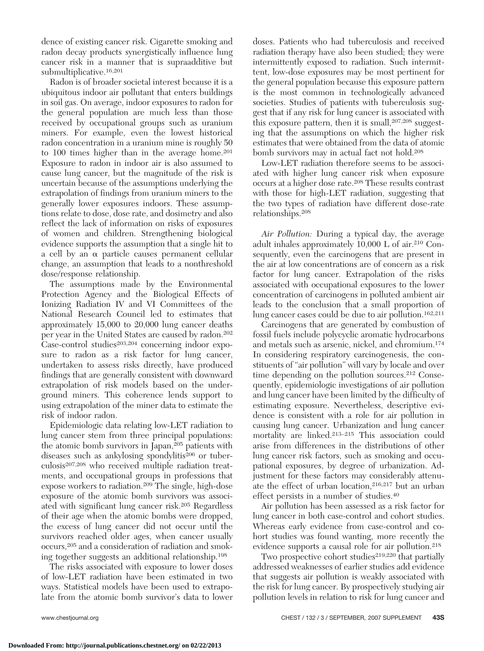dence of existing cancer risk. Cigarette smoking and radon decay products synergistically influence lung cancer risk in a manner that is supraadditive but submultiplicative.16,201

Radon is of broader societal interest because it is a ubiquitous indoor air pollutant that enters buildings in soil gas. On average, indoor exposures to radon for the general population are much less than those received by occupational groups such as uranium miners. For example, even the lowest historical radon concentration in a uranium mine is roughly 50 to 100 times higher than in the average home.<sup>201</sup> Exposure to radon in indoor air is also assumed to cause lung cancer, but the magnitude of the risk is uncertain because of the assumptions underlying the extrapolation of findings from uranium miners to the generally lower exposures indoors. These assumptions relate to dose, dose rate, and dosimetry and also reflect the lack of information on risks of exposures of women and children. Strengthening biological evidence supports the assumption that a single hit to a cell by an  $\alpha$  particle causes permanent cellular change, an assumption that leads to a nonthreshold dose/response relationship.

The assumptions made by the Environmental Protection Agency and the Biological Effects of Ionizing Radiation IV and VI Committees of the National Research Council led to estimates that approximately 15,000 to 20,000 lung cancer deaths per year in the United States are caused by radon.202  $\text{Case-control studies}^{203,204}$  concerning indoor exposure to radon as a risk factor for lung cancer, undertaken to assess risks directly, have produced findings that are generally consistent with downward extrapolation of risk models based on the underground miners. This coherence lends support to using extrapolation of the miner data to estimate the risk of indoor radon.

Epidemiologic data relating low-LET radiation to lung cancer stem from three principal populations: the atomic bomb survivors in Japan,<sup>205</sup> patients with diseases such as ankylosing spondylitis<sup>206</sup> or tuberculosis207,208 who received multiple radiation treatments, and occupational groups in professions that expose workers to radiation.209 The single, high-dose exposure of the atomic bomb survivors was associated with significant lung cancer risk.205 Regardless of their age when the atomic bombs were dropped, the excess of lung cancer did not occur until the survivors reached older ages, when cancer usually occurs,205 and a consideration of radiation and smoking together suggests an additional relationship.198

The risks associated with exposure to lower doses of low-LET radiation have been estimated in two ways. Statistical models have been used to extrapolate from the atomic bomb survivor's data to lower

doses. Patients who had tuberculosis and received radiation therapy have also been studied; they were intermittently exposed to radiation. Such intermittent, low-dose exposures may be most pertinent for the general population because this exposure pattern is the most common in technologically advanced societies. Studies of patients with tuberculosis suggest that if any risk for lung cancer is associated with this exposure pattern, then it is small, $207,208$  suggesting that the assumptions on which the higher risk estimates that were obtained from the data of atomic bomb survivors may in actual fact not hold.208

Low-LET radiation therefore seems to be associated with higher lung cancer risk when exposure occurs at a higher dose rate.208 These results contrast with those for high-LET radiation, suggesting that the two types of radiation have different dose-rate relationships.208

*Air Pollution:* During a typical day, the average adult inhales approximately 10,000 L of air.210 Consequently, even the carcinogens that are present in the air at low concentrations are of concern as a risk factor for lung cancer. Extrapolation of the risks associated with occupational exposures to the lower concentration of carcinogens in polluted ambient air leads to the conclusion that a small proportion of lung cancer cases could be due to air pollution.162,211

Carcinogens that are generated by combustion of fossil fuels include polycyclic aromatic hydrocarbons and metals such as arsenic, nickel, and chromium.174 In considering respiratory carcinogenesis, the constituents of "air pollution" will vary by locale and over time depending on the pollution sources.212 Consequently, epidemiologic investigations of air pollution and lung cancer have been limited by the difficulty of estimating exposure. Nevertheless, descriptive evidence is consistent with a role for air pollution in causing lung cancer. Urbanization and lung cancer mortality are linked.213–215 This association could arise from differences in the distributions of other lung cancer risk factors, such as smoking and occupational exposures, by degree of urbanization. Adjustment for these factors may considerably attenuate the effect of urban location,<sup>216,217</sup> but an urban effect persists in a number of studies.40

Air pollution has been assessed as a risk factor for lung cancer in both case-control and cohort studies. Whereas early evidence from case-control and cohort studies was found wanting, more recently the evidence supports a causal role for air pollution.218

Two prospective cohort studies<sup>219,220</sup> that partially addressed weaknesses of earlier studies add evidence that suggests air pollution is weakly associated with the risk for lung cancer. By prospectively studying air pollution levels in relation to risk for lung cancer and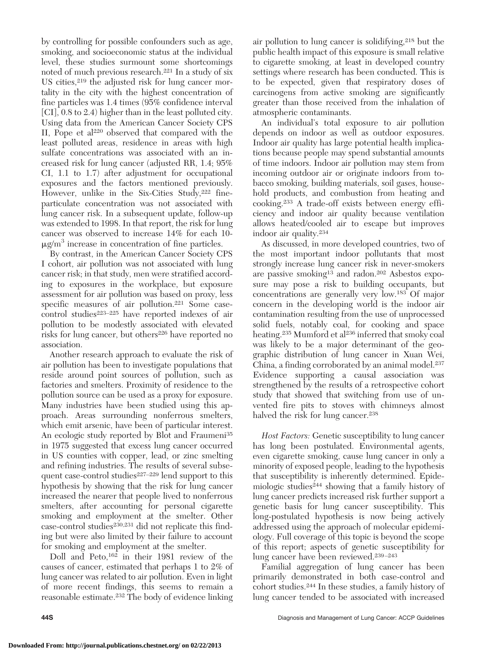by controlling for possible confounders such as age, smoking, and socioeconomic status at the individual level, these studies surmount some shortcomings noted of much previous research.221 In a study of six US cities,<sup>219</sup> the adjusted risk for lung cancer mortality in the city with the highest concentration of fine particles was 1.4 times (95% confidence interval [CI], 0.8 to 2.4) higher than in the least polluted city. Using data from the American Cancer Society CPS II, Pope et al220 observed that compared with the least polluted areas, residence in areas with high sulfate concentrations was associated with an increased risk for lung cancer (adjusted RR, 1.4; 95% CI, 1.1 to 1.7) after adjustment for occupational exposures and the factors mentioned previously. However, unlike in the Six-Cities Study, $222$  fineparticulate concentration was not associated with lung cancer risk. In a subsequent update, follow-up was extended to 1998. In that report, the risk for lung cancer was observed to increase 14% for each 10-  $\mu$ g/m<sup>3</sup> increase in concentration of fine particles.

By contrast, in the American Cancer Society CPS I cohort, air pollution was not associated with lung cancer risk; in that study, men were stratified according to exposures in the workplace, but exposure assessment for air pollution was based on proxy, less specific measures of air pollution.<sup>221</sup> Some casecontrol studies<sup>223–225</sup> have reported indexes of air pollution to be modestly associated with elevated risks for lung cancer, but others<sup>226</sup> have reported no association.

Another research approach to evaluate the risk of air pollution has been to investigate populations that reside around point sources of pollution, such as factories and smelters. Proximity of residence to the pollution source can be used as a proxy for exposure. Many industries have been studied using this approach. Areas surrounding nonferrous smelters, which emit arsenic, have been of particular interest. An ecologic study reported by Blot and Fraumeni<sup>35</sup> in 1975 suggested that excess lung cancer occurred in US counties with copper, lead, or zinc smelting and refining industries. The results of several subsequent case-control studies<sup>227–229</sup> lend support to this hypothesis by showing that the risk for lung cancer increased the nearer that people lived to nonferrous smelters, after accounting for personal cigarette smoking and employment at the smelter. Other case-control studies<sup>230,231</sup> did not replicate this finding but were also limited by their failure to account for smoking and employment at the smelter.

Doll and Peto,<sup>162</sup> in their 1981 review of the causes of cancer, estimated that perhaps 1 to 2% of lung cancer was related to air pollution. Even in light of more recent findings, this seems to remain a reasonable estimate.232 The body of evidence linking air pollution to lung cancer is solidifying,<sup>218</sup> but the public health impact of this exposure is small relative to cigarette smoking, at least in developed country settings where research has been conducted. This is to be expected, given that respiratory doses of carcinogens from active smoking are significantly greater than those received from the inhalation of atmospheric contaminants.

An individual's total exposure to air pollution depends on indoor as well as outdoor exposures. Indoor air quality has large potential health implications because people may spend substantial amounts of time indoors. Indoor air pollution may stem from incoming outdoor air or originate indoors from tobacco smoking, building materials, soil gases, household products, and combustion from heating and cooking.233 A trade-off exists between energy efficiency and indoor air quality because ventilation allows heated/cooled air to escape but improves indoor air quality.234

As discussed, in more developed countries, two of the most important indoor pollutants that most strongly increase lung cancer risk in never-smokers are passive smoking<sup>13</sup> and radon.<sup>202</sup> Asbestos exposure may pose a risk to building occupants, but concentrations are generally very low.183 Of major concern in the developing world is the indoor air contamination resulting from the use of unprocessed solid fuels, notably coal, for cooking and space heating.<sup>235</sup> Mumford et al<sup>236</sup> inferred that smoky coal was likely to be a major determinant of the geographic distribution of lung cancer in Xuan Wei, China, a finding corroborated by an animal model.<sup>237</sup> Evidence supporting a causal association was strengthened by the results of a retrospective cohort study that showed that switching from use of unvented fire pits to stoves with chimneys almost halved the risk for lung cancer.<sup>238</sup>

*Host Factors:* Genetic susceptibility to lung cancer has long been postulated. Environmental agents, even cigarette smoking, cause lung cancer in only a minority of exposed people, leading to the hypothesis that susceptibility is inherently determined. Epidemiologic studies244 showing that a family history of lung cancer predicts increased risk further support a genetic basis for lung cancer susceptibility. This long-postulated hypothesis is now being actively addressed using the approach of molecular epidemiology. Full coverage of this topic is beyond the scope of this report; aspects of genetic susceptibility for lung cancer have been reviewed.239 –243

Familial aggregation of lung cancer has been primarily demonstrated in both case-control and cohort studies.244 In these studies, a family history of lung cancer tended to be associated with increased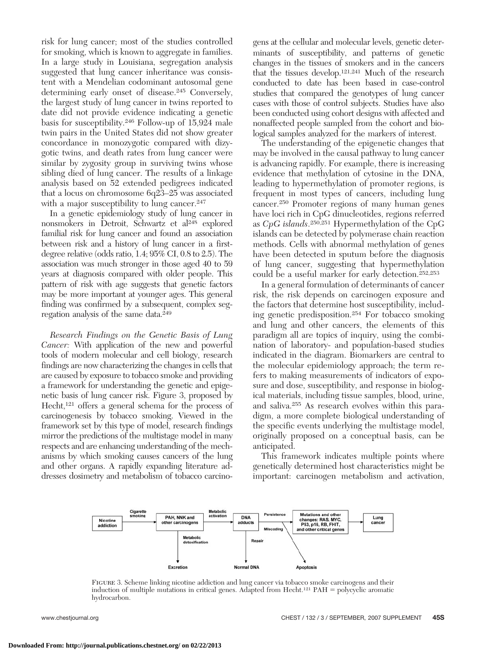risk for lung cancer; most of the studies controlled for smoking, which is known to aggregate in families. In a large study in Louisiana, segregation analysis suggested that lung cancer inheritance was consistent with a Mendelian codominant autosomal gene determining early onset of disease.245 Conversely, the largest study of lung cancer in twins reported to date did not provide evidence indicating a genetic basis for susceptibility.246 Follow-up of 15,924 male twin pairs in the United States did not show greater concordance in monozygotic compared with dizygotic twins, and death rates from lung cancer were similar by zygosity group in surviving twins whose sibling died of lung cancer. The results of a linkage analysis based on 52 extended pedigrees indicated that a locus on chromosome 6q23–25 was associated with a major susceptibility to lung cancer.<sup>247</sup>

In a genetic epidemiology study of lung cancer in nonsmokers in Detroit, Schwartz et al<sup>248</sup> explored familial risk for lung cancer and found an association between risk and a history of lung cancer in a firstdegree relative (odds ratio, 1.4; 95% CI, 0.8 to 2.5). The association was much stronger in those aged 40 to 59 years at diagnosis compared with older people. This pattern of risk with age suggests that genetic factors may be more important at younger ages. This general finding was confirmed by a subsequent, complex segregation analysis of the same data.249

*Research Findings on the Genetic Basis of Lung Cancer:* With application of the new and powerful tools of modern molecular and cell biology, research findings are now characterizing the changes in cells that are caused by exposure to tobacco smoke and providing a framework for understanding the genetic and epigenetic basis of lung cancer risk. Figure 3, proposed by Hecht,121 offers a general schema for the process of carcinogenesis by tobacco smoking. Viewed in the framework set by this type of model, research findings mirror the predictions of the multistage model in many respects and are enhancing understanding of the mechanisms by which smoking causes cancers of the lung and other organs. A rapidly expanding literature addresses dosimetry and metabolism of tobacco carcino-

gens at the cellular and molecular levels, genetic determinants of susceptibility, and patterns of genetic changes in the tissues of smokers and in the cancers that the tissues develop.121,241 Much of the research conducted to date has been based in case-control studies that compared the genotypes of lung cancer cases with those of control subjects. Studies have also been conducted using cohort designs with affected and nonaffected people sampled from the cohort and biological samples analyzed for the markers of interest.

The understanding of the epigenetic changes that may be involved in the causal pathway to lung cancer is advancing rapidly. For example, there is increasing evidence that methylation of cytosine in the DNA, leading to hypermethylation of promoter regions, is frequent in most types of cancers, including lung cancer.250 Promoter regions of many human genes have loci rich in CpG dinucleotides, regions referred as *CpG islands*. 250,251 Hypermethylation of the CpG islands can be detected by polymerase chain reaction methods. Cells with abnormal methylation of genes have been detected in sputum before the diagnosis of lung cancer, suggesting that hypermethylation could be a useful marker for early detection.252,253

In a general formulation of determinants of cancer risk, the risk depends on carcinogen exposure and the factors that determine host susceptibility, including genetic predisposition.254 For tobacco smoking and lung and other cancers, the elements of this paradigm all are topics of inquiry, using the combination of laboratory- and population-based studies indicated in the diagram. Biomarkers are central to the molecular epidemiology approach; the term refers to making measurements of indicators of exposure and dose, susceptibility, and response in biological materials, including tissue samples, blood, urine, and saliva.255 As research evolves within this paradigm, a more complete biological understanding of the specific events underlying the multistage model, originally proposed on a conceptual basis, can be anticipated.

This framework indicates multiple points where genetically determined host characteristics might be important: carcinogen metabolism and activation,



Figure 3. Scheme linking nicotine addiction and lung cancer via tobacco smoke carcinogens and their induction of multiple mutations in critical genes. Adapted from Hecht.<sup>121</sup> PAH = polycyclic aromatic hydrocarbon.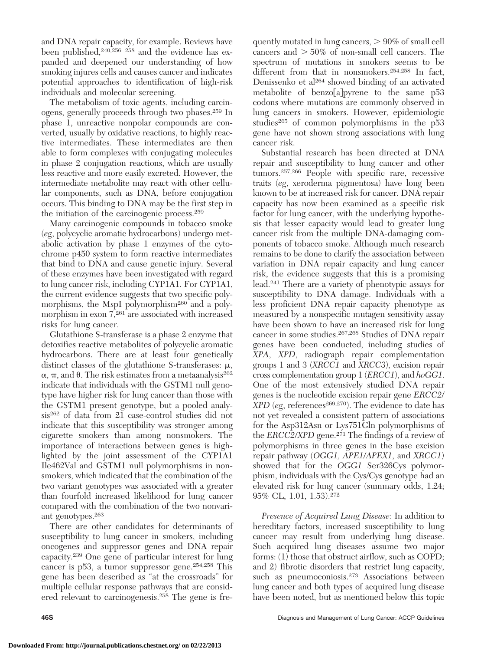and DNA repair capacity, for example. Reviews have been published, $240,256 - 258$  and the evidence has expanded and deepened our understanding of how smoking injures cells and causes cancer and indicates potential approaches to identification of high-risk individuals and molecular screening.

The metabolism of toxic agents, including carcinogens, generally proceeds through two phases.259 In phase 1, unreactive nonpolar compounds are converted, usually by oxidative reactions, to highly reactive intermediates. These intermediates are then able to form complexes with conjugating molecules in phase 2 conjugation reactions, which are usually less reactive and more easily excreted. However, the intermediate metabolite may react with other cellular components, such as DNA, before conjugation occurs. This binding to DNA may be the first step in the initiation of the carcinogenic process.259

Many carcinogenic compounds in tobacco smoke (*eg*, polycyclic aromatic hydrocarbons) undergo metabolic activation by phase 1 enzymes of the cytochrome p450 system to form reactive intermediates that bind to DNA and cause genetic injury. Several of these enzymes have been investigated with regard to lung cancer risk, including CYP1A1. For CYP1A1, the current evidence suggests that two specific polymorphisms, the MspI polymorphism<sup>260</sup> and a polymorphism in exon 7,261 are associated with increased risks for lung cancer.

Glutathione S-transferase is a phase 2 enzyme that detoxifies reactive metabolites of polycyclic aromatic hydrocarbons. There are at least four genetically distinct classes of the glutathione S-transferases:  $\mu$ ,  $\alpha$ ,  $\pi$ , and  $\theta$ . The risk estimates from a metaanalysis<sup>262</sup> indicate that individuals with the GSTM1 null genotype have higher risk for lung cancer than those with the GSTM1 present genotype, but a pooled analysis262 of data from 21 case-control studies did not indicate that this susceptibility was stronger among cigarette smokers than among nonsmokers. The importance of interactions between genes is highlighted by the joint assessment of the CYP1A1 Ile462Val and GSTM1 null polymorphisms in nonsmokers, which indicated that the combination of the two variant genotypes was associated with a greater than fourfold increased likelihood for lung cancer compared with the combination of the two nonvariant genotypes.263

There are other candidates for determinants of susceptibility to lung cancer in smokers, including oncogenes and suppressor genes and DNA repair capacity.239 One gene of particular interest for lung cancer is p53, a tumor suppressor gene.254,258 This gene has been described as "at the crossroads" for multiple cellular response pathways that are considered relevant to carcinogenesis.258 The gene is fre-

quently mutated in lung cancers,  $> 90\%$  of small cell cancers and  $>50\%$  of non-small cell cancers. The spectrum of mutations in smokers seems to be different from that in nonsmokers.<sup>254,258</sup> In fact, Denissenko et al264 showed binding of an activated metabolite of benzo [a] pyrene to the same  $p53$ codons where mutations are commonly observed in lung cancers in smokers. However, epidemiologic studies<sup>265</sup> of common polymorphisms in the p53 gene have not shown strong associations with lung cancer risk.

Substantial research has been directed at DNA repair and susceptibility to lung cancer and other tumors.257,266 People with specific rare, recessive traits (*eg*, xeroderma pigmentosa) have long been known to be at increased risk for cancer. DNA repair capacity has now been examined as a specific risk factor for lung cancer, with the underlying hypothesis that lesser capacity would lead to greater lung cancer risk from the multiple DNA-damaging components of tobacco smoke. Although much research remains to be done to clarify the association between variation in DNA repair capacity and lung cancer risk, the evidence suggests that this is a promising lead.241 There are a variety of phenotypic assays for susceptibility to DNA damage. Individuals with a less proficient DNA repair capacity phenotype as measured by a nonspecific mutagen sensitivity assay have been shown to have an increased risk for lung cancer in some studies.267,268 Studies of DNA repair genes have been conducted, including studies of *XPA*, *XPD*, radiograph repair complementation groups 1 and 3 (*XRCC1* and *XRCC3*), excision repair cross complementation group 1 (*ERCC1*), and *hoGG1*. One of the most extensively studied DNA repair genes is the nucleotide excision repair gene *ERCC2/ XPD* (*eg*, references<sup>269,270</sup>). The evidence to date has not yet revealed a consistent pattern of associations for the Asp312Asn or Lys751Gln polymorphisms of the *ERCC2/XPD* gene.<sup>271</sup> The findings of a review of polymorphisms in three genes in the base excision repair pathway (*OGG1, APE1/APEX1*, and *XRCC1*) showed that for the *OGG1* Ser326Cys polymorphism, individuals with the Cys/Cys genotype had an elevated risk for lung cancer (summary odds, 1.24; 95% CL, 1.01, 1.53).272

*Presence of Acquired Lung Disease:* In addition to hereditary factors, increased susceptibility to lung cancer may result from underlying lung disease. Such acquired lung diseases assume two major forms: (1) those that obstruct airflow, such as COPD; and 2) fibrotic disorders that restrict lung capacity, such as pneumoconiosis.273 Associations between lung cancer and both types of acquired lung disease have been noted, but as mentioned below this topic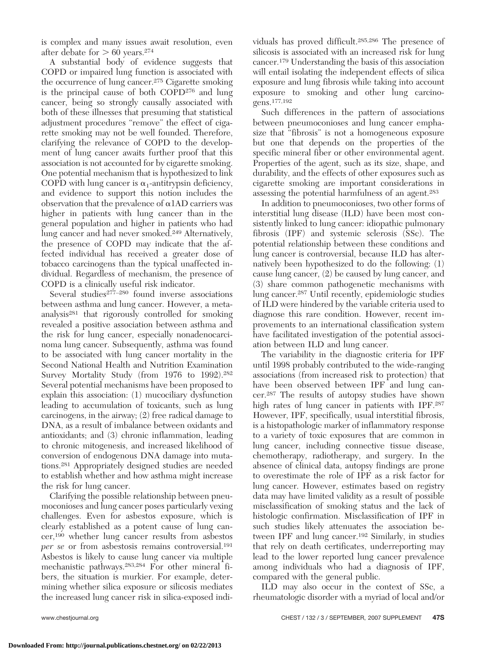is complex and many issues await resolution, even after debate for  $>60$  years.<sup>274</sup>

A substantial body of evidence suggests that COPD or impaired lung function is associated with the occurrence of lung cancer.275 Cigarette smoking is the principal cause of both COPD276 and lung cancer, being so strongly causally associated with both of these illnesses that presuming that statistical adjustment procedures "remove" the effect of cigarette smoking may not be well founded. Therefore, clarifying the relevance of COPD to the development of lung cancer awaits further proof that this association is not accounted for by cigarette smoking. One potential mechanism that is hypothesized to link COPD with lung cancer is  $\alpha_1$ -antitrypsin deficiency, and evidence to support this notion includes the observation that the prevalence of  $\alpha$ 1AD carriers was higher in patients with lung cancer than in the general population and higher in patients who had lung cancer and had never smoked.<sup>249</sup> Alternatively, the presence of COPD may indicate that the affected individual has received a greater dose of tobacco carcinogens than the typical unaffected individual. Regardless of mechanism, the presence of COPD is a clinically useful risk indicator.

Several studies $277-280$  found inverse associations between asthma and lung cancer. However, a metaanalysis281 that rigorously controlled for smoking revealed a positive association between asthma and the risk for lung cancer, especially nonadenocarcinoma lung cancer. Subsequently, asthma was found to be associated with lung cancer mortality in the Second National Health and Nutrition Examination Survey Mortality Study (from 1976 to 1992).282 Several potential mechanisms have been proposed to explain this association: (1) mucociliary dysfunction leading to accumulation of toxicants, such as lung carcinogens, in the airway; (2) free radical damage to DNA, as a result of imbalance between oxidants and antioxidants; and (3) chronic inflammation, leading to chronic mitogenesis, and increased likelihood of conversion of endogenous DNA damage into mutations.281 Appropriately designed studies are needed to establish whether and how asthma might increase the risk for lung cancer.

Clarifying the possible relationship between pneumoconioses and lung cancer poses particularly vexing challenges. Even for asbestos exposure, which is clearly established as a potent cause of lung cancer,190 whether lung cancer results from asbestos *per se* or from asbestosis remains controversial.191 Asbestos is likely to cause lung cancer via multiple mechanistic pathways.283,284 For other mineral fibers, the situation is murkier. For example, determining whether silica exposure or silicosis mediates the increased lung cancer risk in silica-exposed individuals has proved difficult.285,286 The presence of silicosis is associated with an increased risk for lung cancer.179 Understanding the basis of this association will entail isolating the independent effects of silica exposure and lung fibrosis while taking into account exposure to smoking and other lung carcinogens.177,192

Such differences in the pattern of associations between pneumoconioses and lung cancer emphasize that "fibrosis" is not a homogeneous exposure but one that depends on the properties of the specific mineral fiber or other environmental agent. Properties of the agent, such as its size, shape, and durability, and the effects of other exposures such as cigarette smoking are important considerations in assessing the potential harmfulness of an agent.283

In addition to pneumoconioses, two other forms of interstitial lung disease (ILD) have been most consistently linked to lung cancer: idiopathic pulmonary fibrosis (IPF) and systemic sclerosis (SSc). The potential relationship between these conditions and lung cancer is controversial, because ILD has alternatively been hypothesized to do the following: (1) cause lung cancer, (2) be caused by lung cancer, and (3) share common pathogenetic mechanisms with lung cancer.287 Until recently, epidemiologic studies of ILD were hindered by the variable criteria used to diagnose this rare condition. However, recent improvements to an international classification system have facilitated investigation of the potential association between ILD and lung cancer.

The variability in the diagnostic criteria for IPF until 1998 probably contributed to the wide-ranging associations (from increased risk to protection) that have been observed between IPF and lung cancer.287 The results of autopsy studies have shown high rates of lung cancer in patients with IPF.<sup>287</sup> However, IPF, specifically, usual interstitial fibrosis, is a histopathologic marker of inflammatory response to a variety of toxic exposures that are common in lung cancer, including connective tissue disease, chemotherapy, radiotherapy, and surgery. In the absence of clinical data, autopsy findings are prone to overestimate the role of IPF as a risk factor for lung cancer. However, estimates based on registry data may have limited validity as a result of possible misclassification of smoking status and the lack of histologic confirmation. Misclassification of IPF in such studies likely attenuates the association between IPF and lung cancer.192 Similarly, in studies that rely on death certificates, underreporting may lead to the lower reported lung cancer prevalence among individuals who had a diagnosis of IPF, compared with the general public.

ILD may also occur in the context of SSc, a rheumatologic disorder with a myriad of local and/or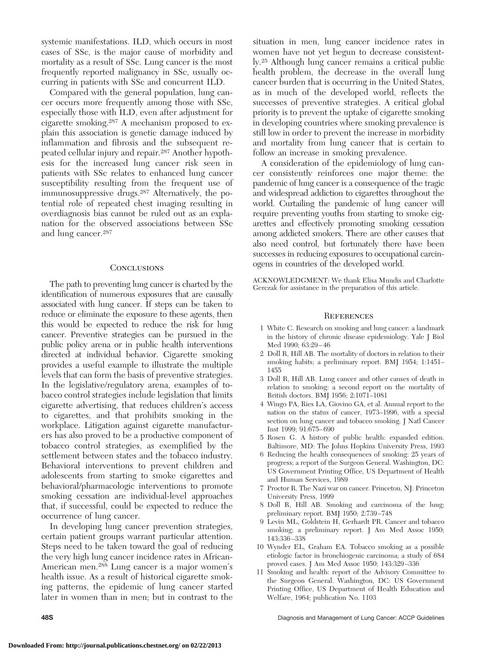systemic manifestations. ILD, which occurs in most cases of SSc, is the major cause of morbidity and mortality as a result of SSc. Lung cancer is the most frequently reported malignancy in SSc, usually occurring in patients with SSc and concurrent ILD.

Compared with the general population, lung cancer occurs more frequently among those with SSc, especially those with ILD, even after adjustment for cigarette smoking.287 A mechanism proposed to explain this association is genetic damage induced by inflammation and fibrosis and the subsequent repeated cellular injury and repair.287 Another hypothesis for the increased lung cancer risk seen in patients with SSc relates to enhanced lung cancer susceptibility resulting from the frequent use of immunosuppressive drugs.<sup>287</sup> Alternatively, the potential role of repeated chest imaging resulting in overdiagnosis bias cannot be ruled out as an explanation for the observed associations between SSc and lung cancer.287

#### **CONCLUSIONS**

The path to preventing lung cancer is charted by the identification of numerous exposures that are causally associated with lung cancer. If steps can be taken to reduce or eliminate the exposure to these agents, then this would be expected to reduce the risk for lung cancer. Preventive strategies can be pursued in the public policy arena or in public health interventions directed at individual behavior. Cigarette smoking provides a useful example to illustrate the multiple levels that can form the basis of preventive strategies. In the legislative/regulatory arena, examples of tobacco control strategies include legislation that limits cigarette advertising, that reduces children's access to cigarettes, and that prohibits smoking in the workplace. Litigation against cigarette manufacturers has also proved to be a productive component of tobacco control strategies, as exemplified by the settlement between states and the tobacco industry. Behavioral interventions to prevent children and adolescents from starting to smoke cigarettes and behavioral/pharmacologic interventions to promote smoking cessation are individual-level approaches that, if successful, could be expected to reduce the occurrence of lung cancer.

In developing lung cancer prevention strategies, certain patient groups warrant particular attention. Steps need to be taken toward the goal of reducing the very high lung cancer incidence rates in African-American men.288 Lung cancer is a major women's health issue. As a result of historical cigarette smoking patterns, the epidemic of lung cancer started later in women than in men; but in contrast to the situation in men, lung cancer incidence rates in women have not yet begun to decrease consistently.25 Although lung cancer remains a critical public health problem, the decrease in the overall lung cancer burden that is occurring in the United States, as in much of the developed world, reflects the successes of preventive strategies. A critical global priority is to prevent the uptake of cigarette smoking in developing countries where smoking prevalence is still low in order to prevent the increase in morbidity and mortality from lung cancer that is certain to follow an increase in smoking prevalence.

A consideration of the epidemiology of lung cancer consistently reinforces one major theme: the pandemic of lung cancer is a consequence of the tragic and widespread addiction to cigarettes throughout the world. Curtailing the pandemic of lung cancer will require preventing youths from starting to smoke cigarettes and effectively promoting smoking cessation among addicted smokers. There are other causes that also need control, but fortunately there have been successes in reducing exposures to occupational carcinogens in countries of the developed world.

ACKNOWLEDGMENT: We thank Elisa Mundis and Charlotte Gerczak for assistance in the preparation of this article.

#### **REFERENCES**

- 1 White C. Research on smoking and lung cancer: a landmark in the history of chronic disease epidemiology. Yale J Biol Med 1990; 63:29 – 46
- 2 Doll R, Hill AB. The mortality of doctors in relation to their smoking habits; a preliminary report. BMJ 1954; 1:1451– 1455
- 3 Doll R, Hill AB. Lung cancer and other causes of death in relation to smoking: a second report on the mortality of British doctors. BMJ 1956; 2:1071–1081
- 4 Wingo PA, Ries LA, Giovino GA, et al. Annual report to the nation on the status of cancer, 1973–1996, with a special section on lung cancer and tobacco smoking. J Natl Cancer Inst 1999; 91:675– 690
- 5 Rosen G. A history of public health: expanded edition. Baltimore, MD: The Johns Hopkins University Press, 1993
- 6 Reducing the health consequences of smoking: 25 years of progress; a report of the Surgeon General. Washington, DC: US Government Printing Office, US Department of Health and Human Services, 1989
- 7 Proctor R. The Nazi war on cancer. Princeton, NJ: Princeton University Press, 1999
- 8 Doll R, Hill AB. Smoking and carcinoma of the lung; preliminary report. BMJ 1950; 2:739 –748
- 9 Levin ML, Goldstein H, Gerhardt PR. Cancer and tobacco smoking; a preliminary report. J Am Med Assoc 1950; 143:336 –338
- 10 Wynder EL, Graham EA. Tobacco smoking as a possible etiologic factor in bronchiogenic carcinoma; a study of 684 proved cases. J Am Med Assoc 1950; 143:329 –336
- 11 Smoking and health: report of the Advisory Committee to the Surgeon General. Washington, DC: US Government Printing Office, US Department of Health Education and Welfare, 1964; publication No. 1103

**48S 1888 Diagnosis and Management of Lung Cancer: ACCP Guidelines**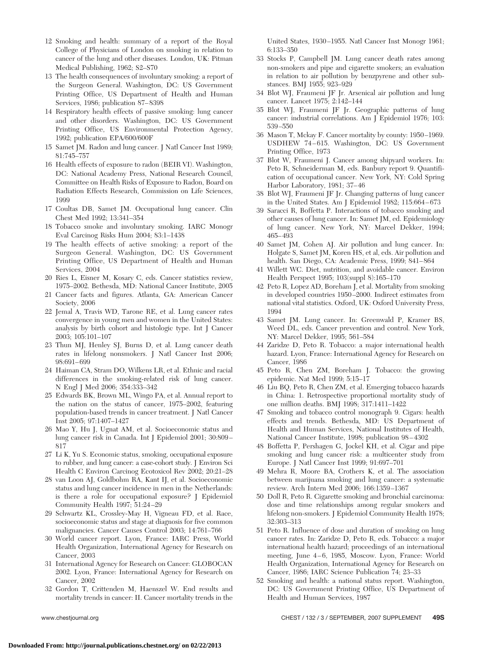- 12 Smoking and health: summary of a report of the Royal College of Physicians of London on smoking in relation to cancer of the lung and other diseases. London, UK: Pitman Medical Publishing, 1962; S2–S70
- 13 The health consequences of involuntary smoking: a report of the Surgeon General. Washington, DC: US Government Printing Office, US Department of Health and Human Services, 1986; publication 87– 8398
- 14 Respiratory health effects of passive smoking: lung cancer and other disorders. Washington, DC: US Government Printing Office, US Environmental Protection Agency, 1992; publication EPA/600/600F
- 15 Samet JM. Radon and lung cancer. J Natl Cancer Inst 1989; 81:745–757
- 16 Health effects of exposure to radon (BEIR VI). Washington, DC: National Academy Press, National Research Council, Committee on Health Risks of Exposure to Radon, Board on Radiation Effects Research, Commission on Life Sciences, 1999
- 17 Coultas DB, Samet JM. Occupational lung cancer. Clin Chest Med 1992; 13:341–354
- 18 Tobacco smoke and involuntary smoking. IARC Monogr Eval Carcinog Risks Hum 2004; 83:1–1438
- 19 The health effects of active smoking: a report of the Surgeon General. Washington, DC: US Government Printing Office, US Department of Health and Human Services, 2004
- 20 Ries L, Eisner M, Kosary C, eds. Cancer statistics review, 1975–2002. Bethesda, MD: National Cancer Institute, 2005
- 21 Cancer facts and figures. Atlanta, GA: American Cancer Society, 2006
- 22 Jemal A, Travis WD, Tarone RE, et al. Lung cancer rates convergence in young men and women in the United States: analysis by birth cohort and histologic type. Int J Cancer 2003; 105:101–107
- 23 Thun MJ, Henley SJ, Burns D, et al. Lung cancer death rates in lifelong nonsmokers. J Natl Cancer Inst 2006; 98:691– 699
- 24 Haiman CA, Stram DO, Wilkens LR, et al. Ethnic and racial differences in the smoking-related risk of lung cancer. N Engl J Med 2006; 354:333–342
- 25 Edwards BK, Brown ML, Wingo PA, et al. Annual report to the nation on the status of cancer, 1975–2002, featuring population-based trends in cancer treatment. J Natl Cancer Inst 2005; 97:1407–1427
- 26 Mao Y, Hu J, Ugnat AM, et al. Socioeconomic status and lung cancer risk in Canada. Int J Epidemiol 2001; 30:809 – 817
- 27 Li K, Yu S. Economic status, smoking, occupational exposure to rubber, and lung cancer: a case-cohort study. J Environ Sci Health C Environ Carcinog Ecotoxicol Rev 2002; 20:21–28
- 28 van Loon AJ, Goldbohm RA, Kant IJ, et al. Socioeconomic status and lung cancer incidence in men in the Netherlands: is there a role for occupational exposure? J Epidemiol Community Health 1997; 51:24 –29
- 29 Schwartz KL, Crossley-May H, Vigneau FD, et al. Race, socioeconomic status and stage at diagnosis for five common malignancies. Cancer Causes Control 2003; 14:761–766
- 30 World cancer report. Lyon, France: IARC Press, World Health Organization, International Agency for Research on Cancer, 2003
- 31 International Agency for Research on Cancer: GLOBOCAN 2002. Lyon, France: International Agency for Research on Cancer, 2002
- 32 Gordon T, Crittenden M, Haenszel W. End results and mortality trends in cancer: II. Cancer mortality trends in the

United States, 1930 –1955. Natl Cancer Inst Monogr 1961; 6:133–350

- 33 Stocks P, Campbell JM. Lung cancer death rates among non-smokers and pipe and cigarette smokers; an evaluation in relation to air pollution by benzpyrene and other substances. BMJ 1955; 923–929
- 34 Blot WJ, Fraumeni JF Jr. Arsenical air pollution and lung cancer. Lancet 1975; 2:142–144
- 35 Blot WJ, Fraumeni JF Jr. Geographic patterns of lung cancer: industrial correlations. Am J Epidemiol 1976; 103: 539 –550
- 36 Mason T, Mckay F. Cancer mortality by county: 1950 –1969. USDHEW 74 – 615. Washington, DC: US Government Printing Office, 1973
- 37 Blot W, Fraumeni J. Cancer among shipyard workers. In: Peto R, Schneiderman M, eds. Banbury report 9. Quantification of occupational cancer. New York, NY: Cold Spring Harbor Laboratory, 1981; 37– 46
- 38 Blot WJ, Fraumeni JF Jr. Changing patterns of lung cancer in the United States. Am J Epidemiol 1982; 115:664 – 673
- 39 Saracci R, Boffetta P. Interactions of tobacco smoking and other causes of lung cancer. In: Samet JM, ed. Epidemiology of lung cancer. New York, NY: Marcel Dekker, 1994; 465– 493
- 40 Samet JM, Cohen AJ. Air pollution and lung cancer. In: Holgate S, Samet JM, Koren HS, et al, eds. Air pollution and health. San Diego, CA: Academic Press, 1999; 841– 864
- 41 Willett WC. Diet, nutrition, and avoidable cancer. Environ Health Perspect 1995; 103(suppl 8):165–170
- 42 Peto R, Lopez AD, Boreham J, et al. Mortality from smoking in developed countries 1950 –2000. Indirect estimates from national vital statistics. Oxford, UK: Oxford University Press, 1994
- 43 Samet JM. Lung cancer. In: Greenwald P, Kramer BS, Weed DL, eds. Cancer prevention and control. New York, NY: Marcel Dekker, 1995; 561–584
- 44 Zaridze D, Peto R. Tobacco: a major international health hazard. Lyon, France: International Agency for Research on Cancer, 1986
- 45 Peto R, Chen ZM, Boreham J. Tobacco: the growing epidemic. Nat Med 1999; 5:15–17
- 46 Liu BQ, Peto R, Chen ZM, et al. Emerging tobacco hazards in China: 1. Retrospective proportional mortality study of one million deaths. BMJ 1998; 317:1411–1422
- 47 Smoking and tobacco control monograph 9. Cigars: health effects and trends. Bethesda, MD: US Department of Health and Human Services, National Institutes of Health, National Cancer Institute, 1998; publication 98 – 4302
- 48 Boffetta P, Pershagen G, Jockel KH, et al. Cigar and pipe smoking and lung cancer risk: a multicenter study from Europe. J Natl Cancer Inst 1999; 91:697–701
- 49 Mehra R, Moore BA, Crothers K, et al. The association between marijuana smoking and lung cancer: a systematic review. Arch Intern Med 2006; 166:1359 –1367
- 50 Doll R, Peto R. Cigarette smoking and bronchial carcinoma: dose and time relationships among regular smokers and lifelong non-smokers. J Epidemiol Community Health 1978; 32:303–313
- 51 Peto R. Influence of dose and duration of smoking on lung cancer rates. In: Zaridze D, Peto R, eds. Tobacco: a major international health hazard; proceedings of an international meeting, June 4–6, 1985, Moscow. Lyon, France: World Health Organization, International Agency for Research on Cancer, 1986; IARC Science Publication 74; 23–33
- 52 Smoking and health: a national status report. Washington, DC: US Government Printing Office, US Department of Health and Human Services, 1987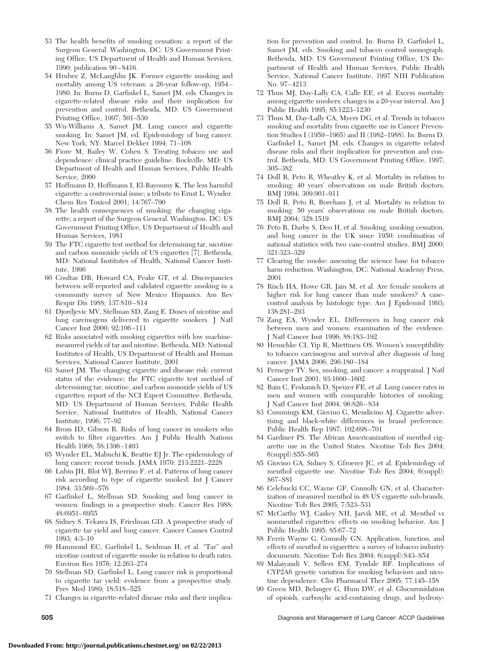- 53 The health benefits of smoking cessation: a report of the Surgeon General. Washington, DC: US Government Printing Office, US Department of Health and Human Services, 1990; publication 90 – 8416.
- 54 Hrubec Z, McLaughlin JK. Former cigarette smoking and mortality among US veterans: a 26-year follow-up, 1954 – 1980. In: Burns D, Garfinkel L, Samet JM, eds. Changes in cigarette-related disease risks and their implication for prevention and control. Bethesda, MD: US Government Printing Office, 1997; 501–530
- 55 Wu-Williams A, Samet JM. Lung cancer and cigarette smoking. In: Samet JM, ed. Epidemiology of lung cancer. New York, NY: Marcel Dekker 1994; 71–108
- 56 Fiore M, Bailey W, Cohen S. Treating tobacco use and dependence: clinical practice guideline. Rockville, MD: US Department of Health and Human Services, Public Health Service, 2000
- 57 Hoffmann D, Hoffmann I, El-Bayoumy K. The less harmful cigarette: a controversial issue; a tribute to Ernst L. Wynder. Chem Res Toxicol 2001; 14:767–790
- 58 The health consequences of smoking: the changing cigarette; a report of the Surgeon General. Washington, DC: US Government Printing Office, US Department of Health and Human Services, 1981
- 59 The FTC cigarette test method for determining tar, nicotine and carbon monoxide yields of US cigarettes [7]. Bethesda, MD: National Institutes of Health, National Cancer Institute, 1996
- 60 Coultas DB, Howard CA, Peake GT, et al. Discrepancies between self-reported and validated cigarette smoking in a community survey of New Mexico Hispanics. Am Rev Respir Dis 1988; 137:810 – 814
- 61 Djordjevic MV, Stellman SD, Zang E. Doses of nicotine and lung carcinogens delivered to cigarette smokers. J Natl Cancer Inst 2000; 92:106 –111
- 62 Risks associated with smoking cigarettes with low machinemeasured yields of tar and nicotine. Bethesda, MD: National Institutes of Health, US Department of Health and Human Services, National Cancer Institute, 2001
- 63 Samet JM. The changing cigarette and disease risk: current status of the evidence; the FTC cigarette test method of determining tar, nicotine, and carbon monoxide yields of US cigarettes; report of the NCI Expert Committee. Bethesda, MD: US Department of Human Services, Public Health Service, National Institutes of Health, National Cancer Institute, 1996; 77–92
- 64 Bross ID, Gibson R. Risks of lung cancer in smokers who switch to filter cigarettes. Am J Public Health Nations Health 1968; 58:1396 –1403
- 65 Wynder EL, Mabuchi K, Beattie EJ Jr. The epidemiology of lung cancer: recent trends. JAMA 1970; 213:2221–2228
- 66 Lubin JH, Blot WJ, Berrino F, et al. Patterns of lung cancer risk according to type of cigarette smoked. Int J Cancer 1984; 33:569 –576
- 67 Garfinkel L, Stellman SD. Smoking and lung cancer in women: findings in a prospective study. Cancer Res 1988; 48:6951– 6955
- 68 Sidney S, Tekawa IS, Friedman GD. A prospective study of cigarette tar yield and lung cancer. Cancer Causes Control 1993; 4:3–10
- 69 Hammond EC, Garfinkel L, Seidman H, et al. "Tar" and nicotine content of cigarette smoke in relation to death rates. Environ Res 1976; 12:263–274
- 70 Stellman SD, Garfinkel L. Lung cancer risk is proportional to cigarette tar yield: evidence from a prospective study. Prev Med 1989; 18:518 –525
- 71 Changes in cigarette-related disease risks and their implica-

tion for prevention and control. In: Burns D, Garfinkel L, Samet JM, eds. Smoking and tobacco control monograph. Bethesda, MD: US Government Printing Office, US Department of Health and Human Services, Public Health Service, National Cancer Institute, 1997 NIH Publication No. 97– 4213

- 72 Thun MJ, Day-Lally CA, Calle EE, et al. Excess mortality among cigarette smokers: changes in a 20-year interval. Am J Public Health 1995; 85:1223–1230
- 73 Thun M, Day-Lally CA, Myers DG, et al. Trends in tobacco smoking and mortality from cigarette use in Cancer Prevention Studies I (1959 –1965) and II (1982–1988). In: Burns D, Garfinkel L, Samet JM, eds. Changes in cigarette related disease risks and their implication for prevention and control. Bethesda, MD: US Government Printing Office, 1997; 305–382
- 74 Doll R, Peto R, Wheatley K, et al. Mortality in relation to smoking: 40 years' observations on male British doctors. BMJ 1994; 309:901–911
- 75 Doll R, Peto R, Boreham J, et al. Mortality in relation to smoking: 50 years' observations on male British doctors. BMJ 2004; 328:1519
- 76 Peto R, Darby S, Deo H, et al. Smoking, smoking cessation, and lung cancer in the UK since 1950: combination of national statistics with two case-control studies. BMJ 2000; 321:323–329
- 77 Clearing the smoke: assessing the science base for tobacco harm reduction. Washington, DC: National Academy Press, 2001
- 78 Risch HA, Howe GR, Jain M, et al. Are female smokers at higher risk for lung cancer than male smokers? A casecontrol analysis by histologic type. Am J Epidemiol 1993; 138:281–293
- 79 Zang EA, Wynder EL. Differences in lung cancer risk between men and women: examination of the evidence. J Natl Cancer Inst 1996; 88:183–192
- 80 Henschke CI, Yip R, Miettinen OS. Women's susceptibility to tobacco carcinogens and survival after diagnosis of lung cancer. JAMA 2006; 296:180 –184
- 81 Perneger TV. Sex, smoking, and cancer: a reappraisal. J Natl Cancer Inst 2001; 93:1600 –1602
- 82 Bain C, Feskanich D, Speizer FE, et al. Lung cancer rates in men and women with comparable histories of smoking. J Natl Cancer Inst 2004; 96:826 – 834
- 83 Cummings KM, Giovino G, Mendicino AJ. Cigarette advertising and black-white differences in brand preference. Public Health Rep 1987; 102:698 –701
- 84 Gardiner PS. The African Americanization of menthol cigarette use in the United States. Nicotine Tob Res 2004; 6(suppl):S55–S65
- 85 Giovino GA, Sidney S, Gfroerer JC, et al. Epidemiology of menthol cigarette use. Nicotine Tob Res 2004; 6(suppl): S67–S81
- 86 Celebucki CC, Wayne GF, Connolly GN, et al. Characterization of measured menthol in 48 US cigarette sub-brands. Nicotine Tob Res 2005; 7:523–531
- 87 McCarthy WJ, Caskey NH, Jarvik ME, et al. Menthol vs nonmenthol cigarettes: effects on smoking behavior. Am J Public Health 1995; 85:67–72
- 88 Ferris Wayne G, Connolly GN. Application, function, and effects of menthol in cigarettes: a survey of tobacco industry documents. Nicotine Tob Res 2004; 6(suppl):S43–S54
- 89 Malaiyandi V, Sellers EM, Tyndale RF. Implications of CYP2A6 genetic variation for smoking behaviors and nicotine dependence. Clin Pharmacol Ther 2005; 77:145–158
- 90 Green MD, Belanger G, Hum DW, et al. Glucuronidation of opioids, carboxylic acid-containing drugs, and hydroxy-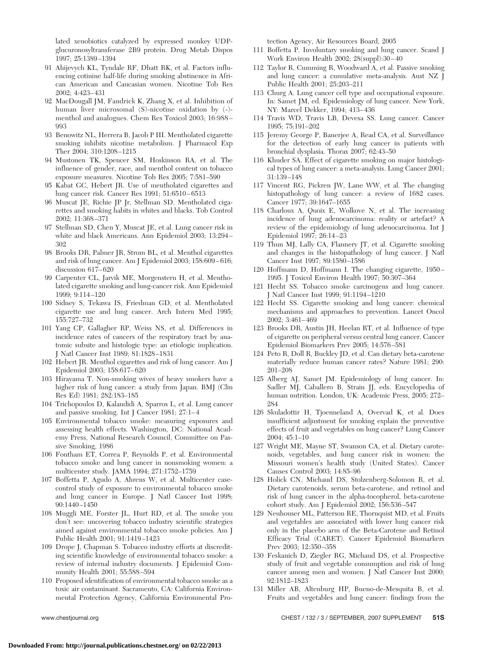lated xenobiotics catalyzed by expressed monkey UDPglucuronosyltransferase 2B9 protein. Drug Metab Dispos 1997; 25:1389 –1394

- 91 Ahijevych KL, Tyndale RF, Dhatt RK, et al. Factors influencing cotinine half-life during smoking abstinence in African American and Caucasian women. Nicotine Tob Res 2002; 4:423– 431
- 92 MacDougall JM, Fandrick K, Zhang X, et al. Inhibition of human liver microsomal (S)-nicotine oxidation by (-) menthol and analogues. Chem Res Toxicol 2003; 16:988 – 993
- 93 Benowitz NL, Herrera B, Jacob P III. Mentholated cigarette smoking inhibits nicotine metabolism. J Pharmacol Exp Ther 2004; 310:1208 –1215
- 94 Mustonen TK, Spencer SM, Hoskinson RA, et al. The influence of gender, race, and menthol content on tobacco exposure measures. Nicotine Tob Res 2005; 7:581–590
- 95 Kabat GC, Hebert JR. Use of mentholated cigarettes and lung cancer risk. Cancer Res 1991; 51:6510 – 6513
- 96 Muscat JE, Richie JP Jr, Stellman SD. Mentholated cigarettes and smoking habits in whites and blacks. Tob Control 2002; 11:368 –371
- 97 Stellman SD, Chen Y, Muscat JE, et al. Lung cancer risk in white and black Americans. Ann Epidemiol 2003; 13:294 – 302
- 98 Brooks DR, Palmer JR, Strom BL, et al. Menthol cigarettes and risk of lung cancer. Am J Epidemiol 2003; 158:609 – 616; discussion 617-620
- 99 Carpenter CL, Jarvik ME, Morgenstern H, et al. Mentholated cigarette smoking and lung-cancer risk. Ann Epidemiol 1999; 9:114 –120
- 100 Sidney S, Tekawa IS, Friedman GD, et al. Mentholated cigarette use and lung cancer. Arch Intern Med 1995; 155:727–732
- 101 Yang CP, Gallagher RP, Weiss NS, et al. Differences in incidence rates of cancers of the respiratory tract by anatomic subsite and histologic type: an etiologic implication. J Natl Cancer Inst 1989; 81:1828 –1831
- 102 Hebert JR. Menthol cigarettes and risk of lung cancer. Am J Epidemiol 2003; 158:617– 620
- 103 Hirayama T. Non-smoking wives of heavy smokers have a higher risk of lung cancer: a study from Japan. BMJ (Clin Res Ed) 1981; 282:183–185
- 104 Trichopoulos D, Kalandidi A, Sparros L, et al. Lung cancer and passive smoking. Int J Cancer 1981; 27:1-4
- 105 Environmental tobacco smoke: measuring exposures and assessing health effects. Washington, DC: National Academy Press, National Research Council, Committee on Passive Smoking, 1986
- 106 Fontham ET, Correa P, Reynolds P, et al. Environmental tobacco smoke and lung cancer in nonsmoking women: a multicenter study. JAMA 1994; 271:1752–1759
- 107 Boffetta P, Agudo A, Ahrens W, et al. Multicenter casecontrol study of exposure to environmental tobacco smoke and lung cancer in Europe. J Natl Cancer Inst 1998; 90:1440 –1450
- 108 Muggli ME, Forster JL, Hurt RD, et al. The smoke you don't see: uncovering tobacco industry scientific strategies aimed against environmental tobacco smoke policies. Am J Public Health 2001; 91:1419 –1423
- 109 Drope J, Chapman S. Tobacco industry efforts at discrediting scientific knowledge of environmental tobacco smoke: a review of internal industry documents. J Epidemiol Community Health 2001; 55:588 –594
- 110 Proposed identification of environmental tobacco smoke as a toxic air contaminant. Sacramento, CA: California Environmental Protection Agency, California Environmental Pro-

tection Agency, Air Resources Board, 2005

- 111 Boffetta P. Involuntary smoking and lung cancer. Scand J Work Environ Health 2002; 28(suppl):30 – 40
- 112 Taylor R, Cumming R, Woodward A, et al. Passive smoking and lung cancer: a cumulative meta-analysis. Aust NZ J Public Health 2001; 25:203–211
- 113 Churg A. Lung cancer cell type and occupational exposure. In: Samet JM, ed. Epidemiology of lung cancer. New York, NY: Marcel Dekker, 1994; 413– 436
- 114 Travis WD, Travis LB, Devesa SS. Lung cancer. Cancer 1995; 75:191–202
- 115 Jeremy George P, Banerjee A, Read CA, et al. Surveillance for the detection of early lung cancer in patients with bronchial dysplasia. Thorax 2007; 62:43–50
- 116 Khuder SA. Effect of cigarette smoking on major histological types of lung cancer: a meta-analysis. Lung Cancer 2001; 31:139 –148
- 117 Vincent RG, Pickren JW, Lane WW, et al. The changing histopathology of lung cancer: a review of 1682 cases. Cancer 1977; 39:1647–1655
- 118 Charloux A, Quoix E, Wolkove N, et al. The increasing incidence of lung adenocarcinoma: reality or artefact? A review of the epidemiology of lung adenocarcinoma. Int J Epidemiol 1997; 26:14 –23
- 119 Thun MJ, Lally CA, Flannery JT, et al. Cigarette smoking and changes in the histopathology of lung cancer. J Natl Cancer Inst 1997; 89:1580 –1586
- 120 Hoffmann D, Hoffmann I. The changing cigarette, 1950 1995. J Toxicol Environ Health 1997; 50:307–364
- 121 Hecht SS. Tobacco smoke carcinogens and lung cancer. J Natl Cancer Inst 1999; 91:1194 –1210
- 122 Hecht SS. Cigarette smoking and lung cancer: chemical mechanisms and approaches to prevention. Lancet Oncol 2002; 3:461– 469
- 123 Brooks DR, Austin JH, Heelan RT, et al. Influence of type of cigarette on peripheral versus central lung cancer. Cancer Epidemiol Biomarkers Prev 2005; 14:576 –581
- 124 Peto R, Doll R, Buckley JD, et al. Can dietary beta-carotene materially reduce human cancer rates? Nature 1981; 290: 201–208
- 125 Alberg AJ, Samet JM. Epidemiology of lung cancer. In: Sadler MJ, Caballero B, Strain JJ, eds. Encyclopedia of human nutrition. London, UK: Academic Press, 2005; 272– 284
- 126 Skuladottir H, Tjoenneland A, Overvad K, et al. Does insufficient adjustment for smoking explain the preventive effects of fruit and vegetables on lung cancer? Lung Cancer 2004; 45:1–10
- 127 Wright ME, Mayne ST, Swanson CA, et al. Dietary carotenoids, vegetables, and lung cancer risk in women: the Missouri women's health study (United States). Cancer Causes Control 2003; 14:85–96
- 128 Holick CN, Michaud DS, Stolzenberg-Solomon R, et al. Dietary carotenoids, serum beta-carotene, and retinol and risk of lung cancer in the alpha-tocopherol, beta-carotene cohort study. Am J Epidemiol 2002; 156:536 –547
- 129 Neuhouser ML, Patterson RE, Thornquist MD, et al. Fruits and vegetables are associated with lower lung cancer risk only in the placebo arm of the Beta-Carotene and Retinol Efficacy Trial (CARET). Cancer Epidemiol Biomarkers Prev 2003; 12:350 –358
- 130 Feskanich D, Ziegler RG, Michaud DS, et al. Prospective study of fruit and vegetable consumption and risk of lung cancer among men and women. J Natl Cancer Inst 2000; 92:1812–1823
- 131 Miller AB, Altenburg HP, Bueno-de-Mesquita B, et al. Fruits and vegetables and lung cancer: findings from the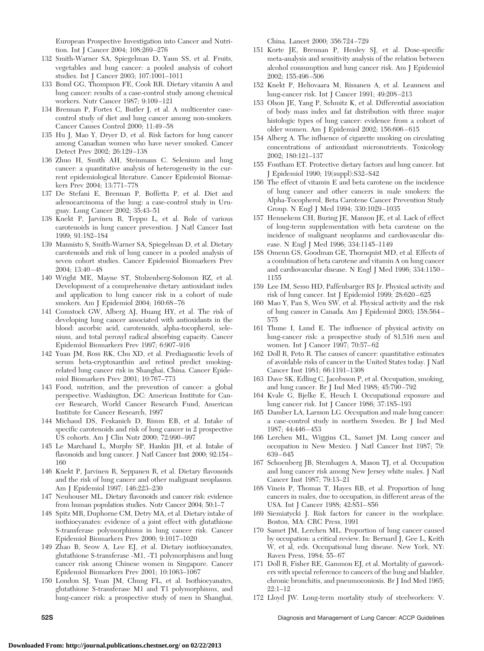European Prospective Investigation into Cancer and Nutrition. Int J Cancer 2004; 108:269 –276

- 132 Smith-Warner SA, Spiegelman D, Yaun SS, et al. Fruits, vegetables and lung cancer: a pooled analysis of cohort studies. Int J Cancer 2003; 107:1001–1011
- 133 Bond GG, Thompson FE, Cook RR. Dietary vitamin A and lung cancer: results of a case-control study among chemical workers. Nutr Cancer 1987; 9:109 –121
- 134 Brennan P, Fortes C, Butler J, et al. A multicenter casecontrol study of diet and lung cancer among non-smokers. Cancer Causes Control 2000; 11:49 –58
- 135 Hu J, Mao Y, Dryer D, et al. Risk factors for lung cancer among Canadian women who have never smoked. Cancer Detect Prev 2002; 26:129 –138
- 136 Zhuo H, Smith AH, Steinmaus C. Selenium and lung cancer: a quantitative analysis of heterogeneity in the current epidemiological literature. Cancer Epidemiol Biomarkers Prev 2004; 13:771–778
- 137 De Stefani E, Brennan P, Boffetta P, et al. Diet and adenocarcinoma of the lung: a case-control study in Uruguay. Lung Cancer 2002; 35:43–51
- 138 Knekt P, Jarvinen R, Teppo L, et al. Role of various carotenoids in lung cancer prevention. J Natl Cancer Inst 1999; 91:182–184
- 139 Mannisto S, Smith-Warner SA, Spiegelman D, et al. Dietary carotenoids and risk of lung cancer in a pooled analysis of seven cohort studies. Cancer Epidemiol Biomarkers Prev 2004; 13:40 – 48
- 140 Wright ME, Mayne ST, Stolzenberg-Solomon RZ, et al. Development of a comprehensive dietary antioxidant index and application to lung cancer risk in a cohort of male smokers. Am J Epidemiol 2004; 160:68-76
- 141 Comstock GW, Alberg AJ, Huang HY, et al. The risk of developing lung cancer associated with antioxidants in the blood: ascorbic acid, carotenoids, alpha-tocopherol, selenium, and total peroxyl radical absorbing capacity. Cancer Epidemiol Biomarkers Prev 1997; 6:907–916
- 142 Yuan JM, Ross RK, Chu XD, et al. Prediagnostic levels of serum beta-cryptoxanthin and retinol predict smokingrelated lung cancer risk in Shanghai, China. Cancer Epidemiol Biomarkers Prev 2001; 10:767–773
- 143 Food, nutrition, and the prevention of cancer: a global perspective. Washington, DC: American Institute for Cancer Research, World Cancer Research Fund, American Institute for Cancer Research, 1997
- 144 Michaud DS, Feskanich D, Rimm EB, et al. Intake of specific carotenoids and risk of lung cancer in 2 prospective US cohorts. Am J Clin Nutr 2000; 72:990 –997
- 145 Le Marchand L, Murphy SP, Hankin JH, et al. Intake of flavonoids and lung cancer. J Natl Cancer Inst 2000; 92:154 – 160
- 146 Knekt P, Jarvinen R, Seppanen R, et al. Dietary flavonoids and the risk of lung cancer and other malignant neoplasms. Am J Epidemiol 1997; 146:223–230
- 147 Neuhouser ML. Dietary flavonoids and cancer risk: evidence from human population studies. Nutr Cancer 2004; 50:1–7
- 148 Spitz MR, Duphorne CM, Detry MA, et al. Dietary intake of isothiocyanates: evidence of a joint effect with glutathione S-transferase polymorphisms in lung cancer risk. Cancer Epidemiol Biomarkers Prev 2000; 9:1017–1020
- 149 Zhao B, Seow A, Lee EJ, et al. Dietary isothiocyanates, glutathione S-transferase -M1, -T1 polymorphisms and lung cancer risk among Chinese women in Singapore. Cancer Epidemiol Biomarkers Prev 2001; 10:1063–1067
- 150 London SJ, Yuan JM, Chung FL, et al. Isothiocyanates, glutathione S-transferase M1 and T1 polymorphisms, and lung-cancer risk: a prospective study of men in Shanghai,

China. Lancet 2000; 356:724 –729

- 151 Korte JE, Brennan P, Henley SJ, et al. Dose-specific meta-analysis and sensitivity analysis of the relation between alcohol consumption and lung cancer risk. Am J Epidemiol 2002; 155:496 –506
- 152 Knekt P, Heliovaara M, Rissanen A, et al. Leanness and lung-cancer risk. Int J Cancer 1991; 49:208 –213
- 153 Olson JE, Yang P, Schmitz K, et al. Differential association of body mass index and fat distribution with three major histologic types of lung cancer: evidence from a cohort of older women. Am J Epidemiol 2002; 156:606 – 615
- 154 Alberg A. The influence of cigarette smoking on circulating concentrations of antioxidant micronutrients. Toxicology 2002; 180:121–137
- 155 Fontham ET. Protective dietary factors and lung cancer. Int J Epidemiol 1990; 19(suppl):S32–S42
- 156 The effect of vitamin E and beta carotene on the incidence of lung cancer and other cancers in male smokers: the Alpha-Tocopherol, Beta Carotene Cancer Prevention Study Group. N Engl J Med 1994; 330:1029 –1035
- 157 Hennekens CH, Buring JE, Manson JE, et al. Lack of effect of long-term supplementation with beta carotene on the incidence of malignant neoplasms and cardiovascular disease. N Engl J Med 1996; 334:1145–1149
- 158 Omenn GS, Goodman GE, Thornquist MD, et al. Effects of a combination of beta carotene and vitamin A on lung cancer and cardiovascular disease. N Engl J Med 1996; 334:1150 – 1155
- 159 Lee IM, Sesso HD, Paffenbarger RS Jr. Physical activity and risk of lung cancer. Int J Epidemiol 1999; 28:620 – 625
- 160 Mao Y, Pan S, Wen SW, et al. Physical activity and the risk of lung cancer in Canada. Am J Epidemiol 2003; 158:564 – 575
- 161 Thune I, Lund E. The influence of physical activity on lung-cancer risk: a prospective study of 81,516 men and women. Int J Cancer 1997; 70:57– 62
- 162 Doll R, Peto R. The causes of cancer: quantitative estimates of avoidable risks of cancer in the United States today. J Natl Cancer Inst 1981; 66:1191–1308
- 163 Dave SK, Edling C, Jacobsson P, et al. Occupation, smoking, and lung cancer. Br J Ind Med 1988; 45:790 –792
- 164 Kvale G, Bjelke E, Heuch I. Occupational exposure and lung cancer risk. Int J Cancer 1986; 37:185–193
- 165 Damber LA, Larsson LG. Occupation and male lung cancer: a case-control study in northern Sweden. Br J Ind Med 1987; 44:446 – 453
- 166 Lerchen ML, Wiggins CL, Samet JM. Lung cancer and occupation in New Mexico. J Natl Cancer Inst 1987; 79: 639 – 645
- 167 Schoenberg JB, Stemhagen A, Mason TJ, et al. Occupation and lung cancer risk among New Jersey white males. J Natl Cancer Inst 1987; 79:13–21
- 168 Vineis P, Thomas T, Hayes RB, et al. Proportion of lung cancers in males, due to occupation, in different areas of the USA. Int J Cancer 1988; 42:851-856
- 169 Siemiatycki J. Risk factors for cancer in the workplace. Boston, MA: CRC Press, 1991
- 170 Samet JM, Lerchen ML. Proportion of lung cancer caused by occupation: a critical review. In: Bernard J, Gee L, Keith W, et al, eds. Occupational lung disease. New York, NY: Raven Press, 1984; 55– 67
- 171 Doll R, Fisher RE, Gammon EJ, et al. Mortality of gasworkers with special reference to cancers of the lung and bladder, chronic bronchitis, and pneumoconiosis. Br J Ind Med 1965; 22:1–12
- 172 Lloyd JW. Long-term mortality study of steelworkers: V.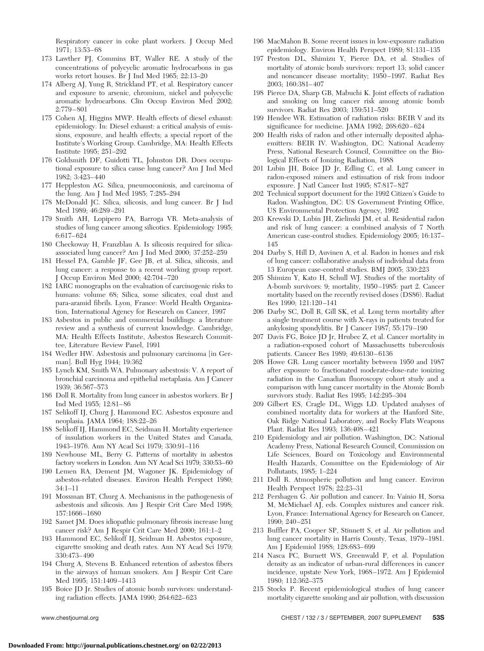Respiratory cancer in coke plant workers. J Occup Med 1971; 13:53– 68

- 173 Lawther PJ, Commins BT, Waller RE. A study of the concentrations of polycyclic aromatic hydrocarbons in gas works retort houses. Br J Ind Med 1965; 22:13–20
- 174 Alberg AJ, Yung R, Strickland PT, et al. Respiratory cancer and exposure to arsenic, chromium, nickel and polycyclic aromatic hydrocarbons. Clin Occup Environ Med 2002; 2:779 – 801
- 175 Cohen AJ, Higgins MWP. Health effects of diesel exhaust: epidemiology. In: Diesel exhaust: a critical analysis of emissions, exposure, and health effects; a special report of the Institute's Working Group. Cambridge, MA: Health Effects Institute 1995; 251–292
- 176 Goldsmith DF, Guidotti TL, Johnston DR. Does occupational exposure to silica cause lung cancer? Am J Ind Med 1982; 3:423– 440
- 177 Heppleston AG. Silica, pneumoconiosis, and carcinoma of the lung. Am J Ind Med 1985; 7:285–294
- 178 McDonald JC. Silica, silicosis, and lung cancer. Br J Ind Med 1989; 46:289 –291
- 179 Smith AH, Lopipero PA, Barroga VR. Meta-analysis of studies of lung cancer among silicotics. Epidemiology 1995; 6:617– 624
- 180 Checkoway H, Franzblau A. Is silicosis required for silicaassociated lung cancer? Am J Ind Med 2000; 37:252–259
- 181 Hessel PA, Gamble JF, Gee JB, et al. Silica, silicosis, and lung cancer: a response to a recent working group report. J Occup Environ Med 2000; 42:704 –720
- 182 IARC monographs on the evaluation of carcinogenic risks to humans: volume 68; Silica, some silicates, coal dust and para-aramid fibrils. Lyon, France: World Health Organization, International Agency for Research on Cancer, 1997
- 183 Asbestos in public and commercial buildings: a literature review and a synthesis of current knowledge. Cambridge, MA: Health Effects Institute, Asbestos Research Committee, Literature Review Panel, 1991
- 184 Wedler HW. Asbestosis and pulmonary carcinoma [in German]. Bull Hyg 1944; 19:362
- 185 Lynch KM, Smith WA. Pulmonary asbestosis: V. A report of bronchial carcinoma and epithelial metaplasia. Am J Cancer 1939; 36:567–573
- 186 Doll R. Mortality from lung cancer in asbestos workers. Br J Ind Med 1955; 12:81– 86
- 187 Selikoff IJ, Churg J, Hammond EC. Asbestos exposure and neoplasia. JAMA 1964; 188:22–26
- 188 Selikoff IJ, Hammond EC, Seidman H. Mortality experience of insulation workers in the United States and Canada, 1943–1976. Ann NY Acad Sci 1979; 330:91–116
- 189 Newhouse ML, Berry G. Patterns of mortality in asbestos factory workers in London. Ann NY Acad Sci 1979; 330:53– 60
- 190 Lemen RA, Dement JM, Wagoner JK. Epidemiology of asbestos-related diseases. Environ Health Perspect 1980; 34:1–11
- 191 Mossman BT, Churg A. Mechanisms in the pathogenesis of asbestosis and silicosis. Am J Respir Crit Care Med 1998; 157:1666 –1680
- 192 Samet JM. Does idiopathic pulmonary fibrosis increase lung cancer risk? Am J Respir Crit Care Med 2000; 161:1–2
- 193 Hammond EC, Selikoff IJ, Seidman H. Asbestos exposure, cigarette smoking and death rates. Ann NY Acad Sci 1979; 330:473– 490
- 194 Churg A, Stevens B. Enhanced retention of asbestos fibers in the airways of human smokers. Am J Respir Crit Care Med 1995; 151:1409 –1413
- 195 Boice JD Jr. Studies of atomic bomb survivors: understanding radiation effects. JAMA 1990; 264:622– 623

- 196 MacMahon B. Some recent issues in low-exposure radiation epidemiology. Environ Health Perspect 1989; 81:131–135
- 197 Preston DL, Shimizu Y, Pierce DA, et al. Studies of mortality of atomic bomb survivors: report 13; solid cancer and noncancer disease mortality; 1950 –1997. Radiat Res 2003; 160:381– 407
- 198 Pierce DA, Sharp GB, Mabuchi K. Joint effects of radiation and smoking on lung cancer risk among atomic bomb survivors. Radiat Res 2003; 159:511–520
- 199 Hendee WR. Estimation of radiation risks: BEIR V and its significance for medicine. JAMA 1992; 268:620 – 624
- 200 Health risks of radon and other internally deposited alphaemitters: BEIR IV. Washington, DC: National Academy Press, National Research Council, Committee on the Biological Effects of Ionizing Radiation, 1988
- 201 Lubin JH, Boice JD Jr, Edling C, et al. Lung cancer in radon-exposed miners and estimation of risk from indoor exposure. J Natl Cancer Inst 1995; 87:817– 827
- 202 Technical support document for the 1992 Citizen's Guide to Radon. Washington, DC: US Government Printing Office, US Environmental Protection Agency, 1992
- 203 Krewski D, Lubin JH, Zielinski JM, et al. Residential radon and risk of lung cancer: a combined analysis of 7 North American case-control studies. Epidemiology 2005; 16:137– 145
- 204 Darby S, Hill D, Auvinen A, et al. Radon in homes and risk of lung cancer: collaborative analysis of individual data from 13 European case-control studies. BMJ 2005; 330:223
- 205 Shimizu Y, Kato H, Schull WJ. Studies of the mortality of A-bomb survivors: 9; mortality, 1950 –1985: part 2. Cancer mortality based on the recently revised doses (DS86). Radiat Res 1990; 121:120 –141
- 206 Darby SC, Doll R, Gill SK, et al. Long term mortality after a single treatment course with X-rays in patients treated for ankylosing spondylitis. Br J Cancer 1987; 55:179 –190
- 207 Davis FG, Boice JD Jr, Hrubec Z, et al. Cancer mortality in a radiation-exposed cohort of Massachusetts tuberculosis patients. Cancer Res 1989; 49:6130 – 6136
- 208 Howe GR. Lung cancer mortality between 1950 and 1987 after exposure to fractionated moderate-dose-rate ionizing radiation in the Canadian fluoroscopy cohort study and a comparison with lung cancer mortality in the Atomic Bomb survivors study. Radiat Res 1995; 142:295–304
- 209 Gilbert ES, Cragle DL, Wiggs LD. Updated analyses of combined mortality data for workers at the Hanford Site, Oak Ridge National Laboratory, and Rocky Flats Weapons Plant. Radiat Res 1993; 136:408 – 421
- 210 Epidemiology and air pollution. Washington, DC: National Academy Press, National Research Council, Commission on Life Sciences, Board on Toxicology and Environmental Health Hazards, Committee on the Epidemiology of Air Pollutants, 1985; 1–224
- 211 Doll R. Atmospheric pollution and lung cancer. Environ Health Perspect 1978; 22:23–31
- 212 Pershagen G. Air pollution and cancer. In: Vainio H, Sorsa M, McMichael AJ, eds. Complex mixtures and cancer risk. Lyon, France: International Agency for Research on Cancer, 1990; 240 –251
- 213 Buffler PA, Cooper SP, Stinnett S, et al. Air pollution and lung cancer mortality in Harris County, Texas, 1979 –1981. Am J Epidemiol 1988; 128:683– 699
- 214 Nasca PC, Burnett WS, Greenwald P, et al. Population density as an indicator of urban-rural differences in cancer incidence, upstate New York, 1968 –1972. Am J Epidemiol 1980; 112:362–375
- 215 Stocks P. Recent epidemiological studies of lung cancer mortality cigarette smoking and air pollution, with discussion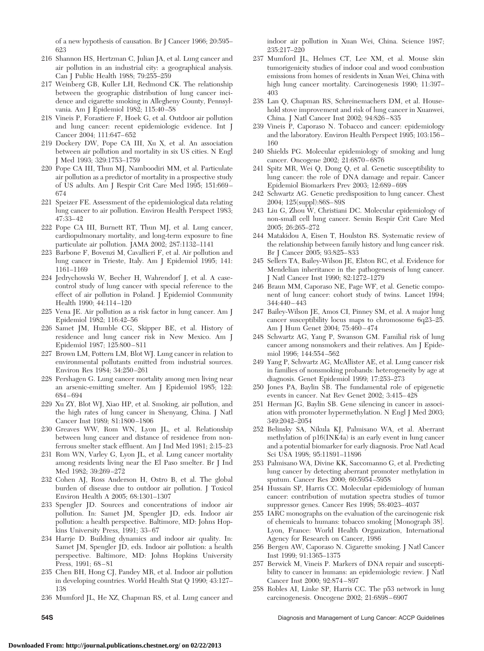of a new hypothesis of causation. Br J Cancer 1966; 20:595– 623

- 216 Shannon HS, Hertzman C, Julian JA, et al. Lung cancer and air pollution in an industrial city: a geographical analysis. Can J Public Health 1988; 79:255–259
- 217 Weinberg GB, Kuller LH, Redmond CK. The relationship between the geographic distribution of lung cancer incidence and cigarette smoking in Allegheny County, Pennsylvania. Am J Epidemiol 1982; 115:40 –58
- 218 Vineis P, Forastiere F, Hoek G, et al. Outdoor air pollution and lung cancer: recent epidemiologic evidence. Int J Cancer 2004; 111:647– 652
- 219 Dockery DW, Pope CA III, Xu X, et al. An association between air pollution and mortality in six US cities. N Engl J Med 1993; 329:1753–1759
- 220 Pope CA III, Thun MJ, Namboodiri MM, et al. Particulate air pollution as a predictor of mortality in a prospective study of US adults. Am J Respir Crit Care Med 1995; 151:669 – 674
- 221 Speizer FE. Assessment of the epidemiological data relating lung cancer to air pollution. Environ Health Perspect 1983; 47:33– 42
- 222 Pope CA III, Burnett RT, Thun MJ, et al. Lung cancer, cardiopulmonary mortality, and long-term exposure to fine particulate air pollution. JAMA 2002; 287:1132–1141
- 223 Barbone F, Bovenzi M, Cavallieri F, et al. Air pollution and lung cancer in Trieste, Italy. Am J Epidemiol 1995; 141: 1161–1169
- 224 Jedrychowski W, Becher H, Wahrendorf J, et al. A casecontrol study of lung cancer with special reference to the effect of air pollution in Poland. J Epidemiol Community Health 1990; 44:114 –120
- 225 Vena JE. Air pollution as a risk factor in lung cancer. Am J Epidemiol 1982; 116:42–56
- 226 Samet JM, Humble CG, Skipper BE, et al. History of residence and lung cancer risk in New Mexico. Am J Epidemiol 1987; 125:800 – 811
- 227 Brown LM, Pottern LM, Blot WJ. Lung cancer in relation to environmental pollutants emitted from industrial sources. Environ Res 1984; 34:250 –261
- 228 Pershagen G. Lung cancer mortality among men living near an arsenic-emitting smelter. Am J Epidemiol 1985; 122: 684 – 694
- 229 Xu ZY, Blot WJ, Xiao HP, et al. Smoking, air pollution, and the high rates of lung cancer in Shenyang, China. J Natl Cancer Inst 1989; 81:1800 –1806
- 230 Greaves WW, Rom WN, Lyon JL, et al. Relationship between lung cancer and distance of residence from nonferrous smelter stack effluent. Am J Ind Med 1981; 2:15–23
- 231 Rom WN, Varley G, Lyon JL, et al. Lung cancer mortality among residents living near the El Paso smelter. Br J Ind Med 1982; 39:269 –272
- 232 Cohen AJ, Ross Anderson H, Ostro B, et al. The global burden of disease due to outdoor air pollution. J Toxicol Environ Health A 2005; 68:1301–1307
- 233 Spengler JD. Sources and concentrations of indoor air pollution. In: Samet JM, Spengler JD, eds. Indoor air pollution: a health perspective. Baltimore, MD: Johns Hopkins University Press, 1991; 33-67
- 234 Harrje D. Building dynamics and indoor air quality. In: Samet JM, Spengler JD, eds. Indoor air pollution: a health perspective. Baltimore, MD: Johns Hopkins University Press, 1991; 68 – 81
- 235 Chen BH, Hong CJ, Pandey MR, et al. Indoor air pollution in developing countries. World Health Stat Q 1990; 43:127– 138
- 236 Mumford JL, He XZ, Chapman RS, et al. Lung cancer and

indoor air pollution in Xuan Wei, China. Science 1987; 235:217–220

- 237 Mumford JL, Helmes CT, Lee XM, et al. Mouse skin tumorigenicity studies of indoor coal and wood combustion emissions from homes of residents in Xuan Wei, China with high lung cancer mortality. Carcinogenesis 1990; 11:397– 403
- 238 Lan Q, Chapman RS, Schreinemachers DM, et al. Household stove improvement and risk of lung cancer in Xuanwei, China. J Natl Cancer Inst 2002; 94:826 – 835
- 239 Vineis P, Caporaso N. Tobacco and cancer: epidemiology and the laboratory. Environ Health Perspect 1995; 103:156 – 160
- 240 Shields PG. Molecular epidemiology of smoking and lung cancer. Oncogene 2002; 21:6870 – 6876
- 241 Spitz MR, Wei Q, Dong Q, et al. Genetic susceptibility to lung cancer: the role of DNA damage and repair. Cancer Epidemiol Biomarkers Prev 2003; 12:689 – 698
- 242 Schwartz AG. Genetic predisposition to lung cancer. Chest 2004; 125(suppl):86S– 89S
- 243 Liu G, Zhou W, Christiani DC. Molecular epidemiology of non-small cell lung cancer. Semin Respir Crit Care Med 2005; 26:265–272
- 244 Matakidou A, Eisen T, Houlston RS. Systematic review of the relationship between family history and lung cancer risk. Br J Cancer 2005; 93:825– 833
- 245 Sellers TA, Bailey-Wilson JE, Elston RC, et al. Evidence for Mendelian inheritance in the pathogenesis of lung cancer. J Natl Cancer Inst 1990; 82:1272–1279
- 246 Braun MM, Caporaso NE, Page WF, et al. Genetic component of lung cancer: cohort study of twins. Lancet 1994; 344:440 – 443
- 247 Bailey-Wilson JE, Amos CI, Pinney SM, et al. A major lung cancer susceptibility locus maps to chromosome 6q23–25. Am J Hum Genet 2004; 75:460 – 474
- 248 Schwartz AG, Yang P, Swanson GM. Familial risk of lung cancer among nonsmokers and their relatives. Am J Epidemiol 1996; 144:554 –562
- 249 Yang P, Schwartz AG, McAllister AE, et al. Lung cancer risk in families of nonsmoking probands: heterogeneity by age at diagnosis. Genet Epidemiol 1999; 17:253–273
- 250 Jones PA, Baylin SB. The fundamental role of epigenetic events in cancer. Nat Rev Genet 2002; 3:415– 428
- 251 Herman JG, Baylin SB. Gene silencing in cancer in association with promoter hypermethylation. N Engl J Med 2003; 349:2042–2054
- 252 Belinsky SA, Nikula KJ, Palmisano WA, et al. Aberrant methylation of p16(INK4a) is an early event in lung cancer and a potential biomarker for early diagnosis. Proc Natl Acad Sci USA 1998; 95:11891–11896
- 253 Palmisano WA, Divine KK, Saccomanno G, et al. Predicting lung cancer by detecting aberrant promoter methylation in sputum. Cancer Res 2000; 60:5954 –5958
- 254 Hussain SP, Harris CC. Molecular epidemiology of human cancer: contribution of mutation spectra studies of tumor suppressor genes. Cancer Res 1998; 58:4023– 4037
- 255 IARC monographs on the evaluation of the carcinogenic risk of chemicals to humans: tobacco smoking [Monograph 38]. Lyon, France: World Health Organization, International Agency for Research on Cancer, 1986
- 256 Bergen AW, Caporaso N. Cigarette smoking. J Natl Cancer Inst 1999; 91:1365–1375
- 257 Berwick M, Vineis P. Markers of DNA repair and susceptibility to cancer in humans: an epidemiologic review. J Natl Cancer Inst 2000; 92:874 – 897
- 258 Robles AI, Linke SP, Harris CC. The p53 network in lung carcinogenesis. Oncogene 2002; 21:6898 – 6907

**54S** Diagnosis and Management of Lung Cancer: ACCP Guidelines